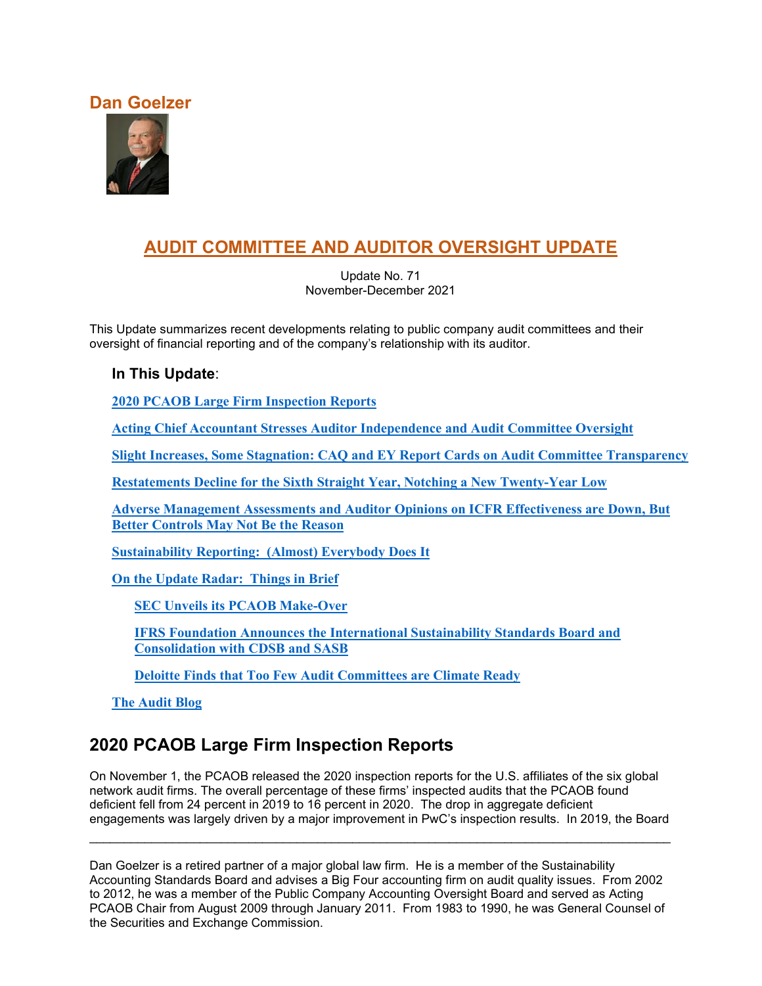### **Dan Goelzer**



# **AUDIT COMMITTEE AND AUDITOR OVERSIGHT UPDATE**

Update No. 71 November-December 2021

This Update summarizes recent developments relating to public company audit committees and their oversight of financial reporting and of the company's relationship with its auditor.

### **In This Update**:

**[2020 PCAOB Large Firm Inspection](#page-0-0) Reports**

**[Acting Chief Accountant Stresses Auditor Independence and Audit Committee Oversight](#page-8-0)**

**[Slight Increases, Some Stagnation: CAQ and EY Report Cards on Audit Committee Transparency](#page-10-0)**

**[Restatements Decline for the Sixth Straight Year, Notching a](#page-13-0) New Twenty-Year Low**

**[Adverse Management Assessments and Auditor Opinions on ICFR Effectiveness are Down, But](#page-14-0)  [Better Controls May Not Be the Reason](#page-14-0)**

**[Sustainability Reporting: \(Almost\) Everybody Does It](#page-17-0)**

**[On the Update Radar: Things in Brief](#page-18-0)**

**[SEC Unveils its PCAOB Make-Over](#page-18-1)**

**[IFRS Foundation Announces the International Sustainability Standards Board and](#page-19-0)  Consolidation [with CDSB and SASB](#page-19-0)**

**Deloitte Finds that Too [Few Audit Committees are Climate Ready](#page-20-0)**

**[The Audit Blog](#page-21-0)**

# <span id="page-0-0"></span>**2020 PCAOB Large Firm Inspection Reports**

On November 1, the PCAOB released the 2020 inspection reports for the U.S. affiliates of the six global network audit firms. The overall percentage of these firms' inspected audits that the PCAOB found deficient fell from 24 percent in 2019 to 16 percent in 2020. The drop in aggregate deficient engagements was largely driven by a major improvement in PwC's inspection results. In 2019, the Board

Dan Goelzer is a retired partner of a major global law firm. He is a member of the Sustainability Accounting Standards Board and advises a Big Four accounting firm on audit quality issues. From 2002 to 2012, he was a member of the Public Company Accounting Oversight Board and served as Acting PCAOB Chair from August 2009 through January 2011. From 1983 to 1990, he was General Counsel of the Securities and Exchange Commission.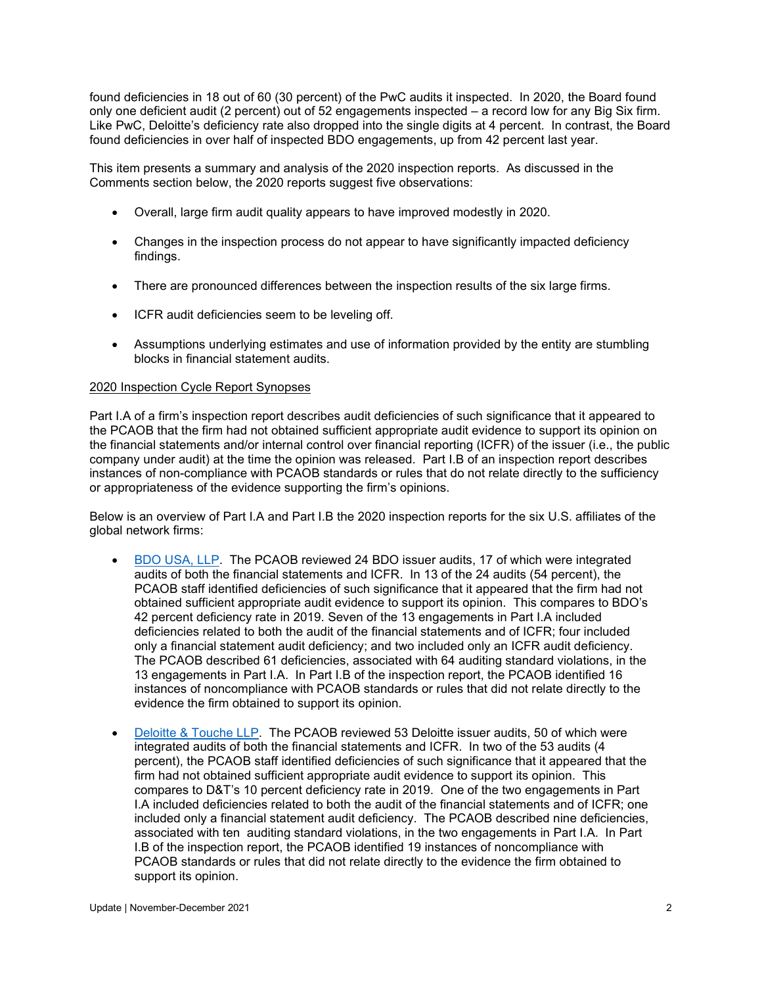found deficiencies in 18 out of 60 (30 percent) of the PwC audits it inspected. In 2020, the Board found only one deficient audit (2 percent) out of 52 engagements inspected – a record low for any Big Six firm. Like PwC, Deloitte's deficiency rate also dropped into the single digits at 4 percent. In contrast, the Board found deficiencies in over half of inspected BDO engagements, up from 42 percent last year.

This item presents a summary and analysis of the 2020 inspection reports. As discussed in the Comments section below, the 2020 reports suggest five observations:

- Overall, large firm audit quality appears to have improved modestly in 2020.
- Changes in the inspection process do not appear to have significantly impacted deficiency findings.
- There are pronounced differences between the inspection results of the six large firms.
- ICFR audit deficiencies seem to be leveling off.
- Assumptions underlying estimates and use of information provided by the entity are stumbling blocks in financial statement audits.

#### 2020 Inspection Cycle Report Synopses

Part I.A of a firm's inspection report describes audit deficiencies of such significance that it appeared to the PCAOB that the firm had not obtained sufficient appropriate audit evidence to support its opinion on the financial statements and/or internal control over financial reporting (ICFR) of the issuer (i.e., the public company under audit) at the time the opinion was released. Part I.B of an inspection report describes instances of non-compliance with PCAOB standards or rules that do not relate directly to the sufficiency or appropriateness of the evidence supporting the firm's opinions.

Below is an overview of Part I.A and Part I.B the 2020 inspection reports for the six U.S. affiliates of the global network firms:

- [BDO USA, LLP.](https://pcaob-assets.azureedge.net/pcaob-dev/docs/default-source/inspections/reports/documents/104-2021-149-bdo.pdf?sfvrsn=9b07f1e_4) The PCAOB reviewed 24 BDO issuer audits, 17 of which were integrated audits of both the financial statements and ICFR. In 13 of the 24 audits (54 percent), the PCAOB staff identified deficiencies of such significance that it appeared that the firm had not obtained sufficient appropriate audit evidence to support its opinion. This compares to BDO's 42 percent deficiency rate in 2019. Seven of the 13 engagements in Part I.A included deficiencies related to both the audit of the financial statements and of ICFR; four included only a financial statement audit deficiency; and two included only an ICFR audit deficiency. The PCAOB described 61 deficiencies, associated with 64 auditing standard violations, in the 13 engagements in Part I.A. In Part I.B of the inspection report, the PCAOB identified 16 instances of noncompliance with PCAOB standards or rules that did not relate directly to the evidence the firm obtained to support its opinion.
- [Deloitte & Touche LLP.](https://pcaob-assets.azureedge.net/pcaob-dev/docs/default-source/inspections/reports/documents/104-2021-150-dt.pdf?sfvrsn=639fc6fe_4) The PCAOB reviewed 53 Deloitte issuer audits, 50 of which were integrated audits of both the financial statements and ICFR. In two of the 53 audits (4 percent), the PCAOB staff identified deficiencies of such significance that it appeared that the firm had not obtained sufficient appropriate audit evidence to support its opinion. This compares to D&T's 10 percent deficiency rate in 2019. One of the two engagements in Part I.A included deficiencies related to both the audit of the financial statements and of ICFR; one included only a financial statement audit deficiency. The PCAOB described nine deficiencies, associated with ten auditing standard violations, in the two engagements in Part I.A. In Part I.B of the inspection report, the PCAOB identified 19 instances of noncompliance with PCAOB standards or rules that did not relate directly to the evidence the firm obtained to support its opinion.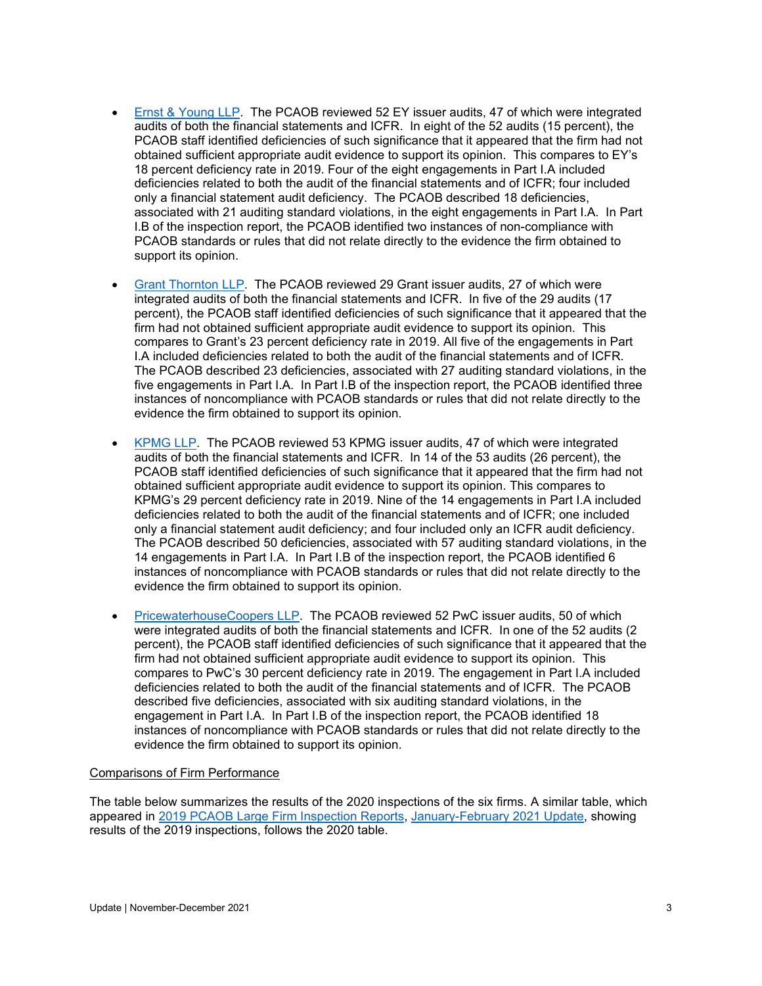- [Ernst & Young LLP.](https://pcaob-assets.azureedge.net/pcaob-dev/docs/default-source/inspections/reports/documents/104-2021-151-ey.pdf?sfvrsn=2c8cadd5_4) The PCAOB reviewed 52 EY issuer audits, 47 of which were integrated audits of both the financial statements and ICFR. In eight of the 52 audits (15 percent), the PCAOB staff identified deficiencies of such significance that it appeared that the firm had not obtained sufficient appropriate audit evidence to support its opinion. This compares to EY's 18 percent deficiency rate in 2019. Four of the eight engagements in Part I.A included deficiencies related to both the audit of the financial statements and of ICFR; four included only a financial statement audit deficiency. The PCAOB described 18 deficiencies, associated with 21 auditing standard violations, in the eight engagements in Part I.A. In Part I.B of the inspection report, the PCAOB identified two instances of non-compliance with PCAOB standards or rules that did not relate directly to the evidence the firm obtained to support its opinion.
- [Grant Thornton LLP.](https://pcaob-assets.azureedge.net/pcaob-dev/docs/default-source/inspections/reports/documents/104-2021-152-gt.pdf?sfvrsn=de8e57b9_4) The PCAOB reviewed 29 Grant issuer audits, 27 of which were integrated audits of both the financial statements and ICFR. In five of the 29 audits (17 percent), the PCAOB staff identified deficiencies of such significance that it appeared that the firm had not obtained sufficient appropriate audit evidence to support its opinion. This compares to Grant's 23 percent deficiency rate in 2019. All five of the engagements in Part I.A included deficiencies related to both the audit of the financial statements and of ICFR. The PCAOB described 23 deficiencies, associated with 27 auditing standard violations, in the five engagements in Part I.A. In Part I.B of the inspection report, the PCAOB identified three instances of noncompliance with PCAOB standards or rules that did not relate directly to the evidence the firm obtained to support its opinion.
- [KPMG LLP.](https://pcaob-assets.azureedge.net/pcaob-dev/docs/default-source/inspections/reports/documents/104-2021-153-kpmg.pdf?sfvrsn=4a2b8d8a_4) The PCAOB reviewed 53 KPMG issuer audits, 47 of which were integrated audits of both the financial statements and ICFR. In 14 of the 53 audits (26 percent), the PCAOB staff identified deficiencies of such significance that it appeared that the firm had not obtained sufficient appropriate audit evidence to support its opinion. This compares to KPMG's 29 percent deficiency rate in 2019. Nine of the 14 engagements in Part I.A included deficiencies related to both the audit of the financial statements and of ICFR; one included only a financial statement audit deficiency; and four included only an ICFR audit deficiency. The PCAOB described 50 deficiencies, associated with 57 auditing standard violations, in the 14 engagements in Part I.A. In Part I.B of the inspection report, the PCAOB identified 6 instances of noncompliance with PCAOB standards or rules that did not relate directly to the evidence the firm obtained to support its opinion.
- [PricewaterhouseCoopers LLP.](https://pcaob-assets.azureedge.net/pcaob-dev/docs/default-source/inspections/reports/documents/104-2021-154-pwc.pdf?sfvrsn=3dc09bf6_2) The PCAOB reviewed 52 PwC issuer audits, 50 of which were integrated audits of both the financial statements and ICFR. In one of the 52 audits (2 percent), the PCAOB staff identified deficiencies of such significance that it appeared that the firm had not obtained sufficient appropriate audit evidence to support its opinion. This compares to PwC's 30 percent deficiency rate in 2019. The engagement in Part I.A included deficiencies related to both the audit of the financial statements and of ICFR. The PCAOB described five deficiencies, associated with six auditing standard violations, in the engagement in Part I.A. In Part I.B of the inspection report, the PCAOB identified 18 instances of noncompliance with PCAOB standards or rules that did not relate directly to the evidence the firm obtained to support its opinion.

#### Comparisons of Firm Performance

The table below summarizes the results of the 2020 inspections of the six firms. A similar table, which appeared in [2019 PCAOB Large Firm Inspection Reports,](https://www.auditupdate.com/post/2019-pcaob-large-firm-inspection-reports) [January-February 2021 Update,](https://b65438bf-9321-45db-8f57-d57780f6c776.filesusr.com/ugd/6ebb47_b87457cf2a6848e8aff37716281e8778.pdf) showing results of the 2019 inspections, follows the 2020 table.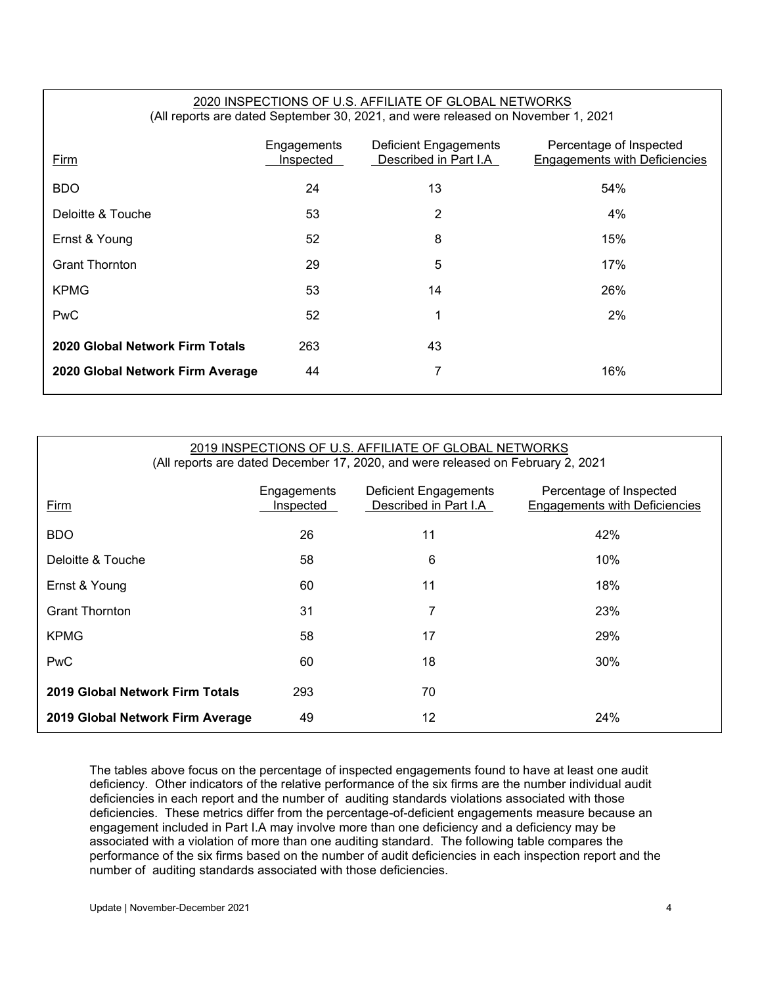#### 2020 INSPECTIONS OF U.S. AFFILIATE OF GLOBAL NETWORKS (All reports are dated September 30, 2021, and were released on November 1, 2021

| Firm                             | Engagements<br>Inspected | Deficient Engagements<br>Described in Part I.A | Percentage of Inspected<br><b>Engagements with Deficiencies</b> |
|----------------------------------|--------------------------|------------------------------------------------|-----------------------------------------------------------------|
| <b>BDO</b>                       | 24                       | 13                                             | 54%                                                             |
| Deloitte & Touche                | 53                       | 2                                              | 4%                                                              |
| Ernst & Young                    | 52                       | 8                                              | 15%                                                             |
| <b>Grant Thornton</b>            | 29                       | 5                                              | 17%                                                             |
| <b>KPMG</b>                      | 53                       | 14                                             | 26%                                                             |
| <b>PwC</b>                       | 52                       | 1                                              | 2%                                                              |
| 2020 Global Network Firm Totals  | 263                      | 43                                             |                                                                 |
| 2020 Global Network Firm Average | 44                       | 7                                              | 16%                                                             |
|                                  |                          |                                                |                                                                 |

#### 2019 INSPECTIONS OF U.S. AFFILIATE OF GLOBAL NETWORKS (All reports are dated December 17, 2020, and were released on February 2, 2021

| Firm                             | Engagements<br>Inspected | Deficient Engagements<br>Described in Part I.A | Percentage of Inspected<br><b>Engagements with Deficiencies</b> |
|----------------------------------|--------------------------|------------------------------------------------|-----------------------------------------------------------------|
| <b>BDO</b>                       | 26                       | 11                                             | 42%                                                             |
| Deloitte & Touche                | 58                       | 6                                              | 10%                                                             |
| Ernst & Young                    | 60                       | 11                                             | 18%                                                             |
| <b>Grant Thornton</b>            | 31                       | 7                                              | 23%                                                             |
| <b>KPMG</b>                      | 58                       | 17                                             | 29%                                                             |
| <b>PwC</b>                       | 60                       | 18                                             | 30%                                                             |
| 2019 Global Network Firm Totals  | 293                      | 70                                             |                                                                 |
| 2019 Global Network Firm Average | 49                       | 12                                             | 24%                                                             |

The tables above focus on the percentage of inspected engagements found to have at least one audit deficiency. Other indicators of the relative performance of the six firms are the number individual audit deficiencies in each report and the number of auditing standards violations associated with those deficiencies. These metrics differ from the percentage-of-deficient engagements measure because an engagement included in Part I.A may involve more than one deficiency and a deficiency may be associated with a violation of more than one auditing standard. The following table compares the performance of the six firms based on the number of audit deficiencies in each inspection report and the number of auditing standards associated with those deficiencies.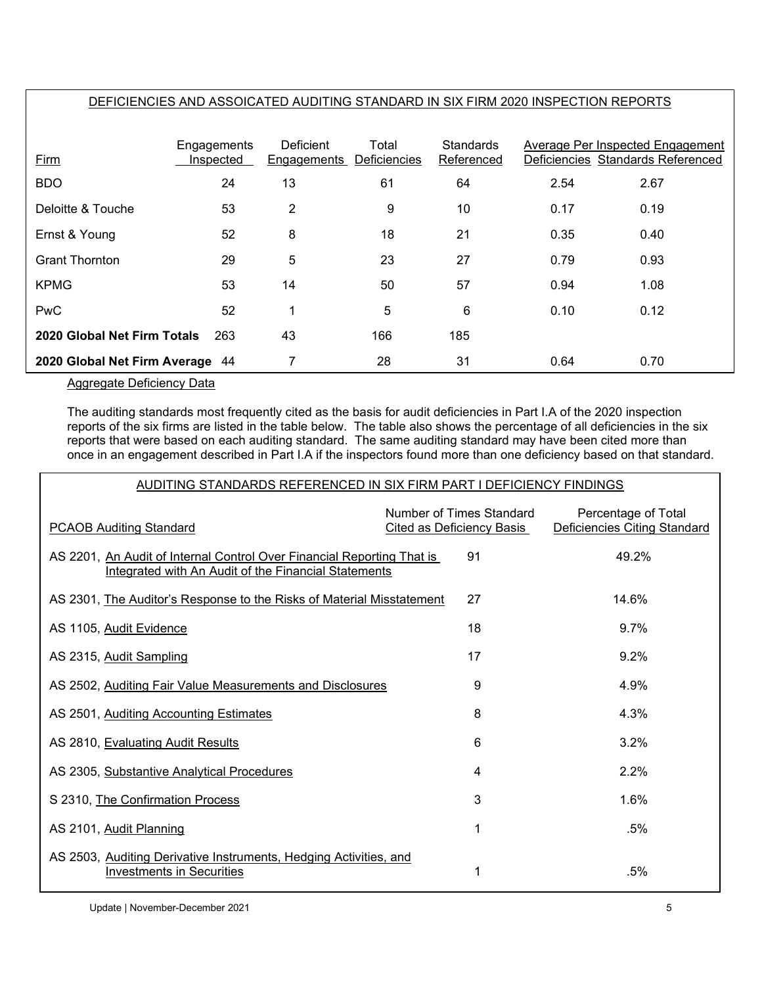### DEFICIENCIES AND ASSOICATED AUDITING STANDARD IN SIX FIRM 2020 INSPECTION REPORTS

| Firm                            | Engagements<br>Inspected | Deficient<br>Engagements | Total<br>Deficiencies | <b>Standards</b><br>Referenced |      | Average Per Inspected Engagement<br>Deficiencies Standards Referenced |
|---------------------------------|--------------------------|--------------------------|-----------------------|--------------------------------|------|-----------------------------------------------------------------------|
| <b>BDO</b>                      | 24                       | 13                       | 61                    | 64                             | 2.54 | 2.67                                                                  |
| Deloitte & Touche               | 53                       | 2                        | 9                     | 10                             | 0.17 | 0.19                                                                  |
| Ernst & Young                   | 52                       | 8                        | 18                    | 21                             | 0.35 | 0.40                                                                  |
| <b>Grant Thornton</b>           | 29                       | 5                        | 23                    | 27                             | 0.79 | 0.93                                                                  |
| <b>KPMG</b>                     | 53                       | 14                       | 50                    | 57                             | 0.94 | 1.08                                                                  |
| <b>PwC</b>                      | 52                       | ◢                        | 5                     | 6                              | 0.10 | 0.12                                                                  |
| 2020 Global Net Firm Totals     | 263                      | 43                       | 166                   | 185                            |      |                                                                       |
| 2020 Global Net Firm Average 44 |                          | 7                        | 28                    | 31                             | 0.64 | 0.70                                                                  |

Aggregate Deficiency Data

The auditing standards most frequently cited as the basis for audit deficiencies in Part I.A of the 2020 inspection reports of the six firms are listed in the table below. The table also shows the percentage of all deficiencies in the six reports that were based on each auditing standard. The same auditing standard may have been cited more than once in an engagement described in Part I.A if the inspectors found more than one deficiency based on that standard.

#### AUDITING STANDARDS REFERENCED IN SIX FIRM PART I DEFICIENCY FINDINGS

| <b>PCAOB Auditing Standard</b>                                                                                                 | Number of Times Standard<br>Cited as Deficiency Basis | Percentage of Total<br>Deficiencies Citing Standard |
|--------------------------------------------------------------------------------------------------------------------------------|-------------------------------------------------------|-----------------------------------------------------|
| AS 2201, An Audit of Internal Control Over Financial Reporting That is<br>Integrated with An Audit of the Financial Statements | 91                                                    | 49.2%                                               |
| AS 2301, The Auditor's Response to the Risks of Material Misstatement                                                          | 27                                                    | 14.6%                                               |
| AS 1105, Audit Evidence                                                                                                        | 18                                                    | $9.7\%$                                             |
| AS 2315, Audit Sampling                                                                                                        | 17                                                    | $9.2\%$                                             |
| AS 2502, Auditing Fair Value Measurements and Disclosures                                                                      | 9                                                     | 4.9%                                                |
| AS 2501, Auditing Accounting Estimates                                                                                         | 8                                                     | 4.3%                                                |
| AS 2810, Evaluating Audit Results                                                                                              | 6                                                     | 3.2%                                                |
| AS 2305, Substantive Analytical Procedures                                                                                     | 4                                                     | 2.2%                                                |
| S 2310, The Confirmation Process                                                                                               | 3                                                     | 1.6%                                                |
| AS 2101, Audit Planning                                                                                                        | 1                                                     | .5%                                                 |
| AS 2503, Auditing Derivative Instruments, Hedging Activities, and<br><b>Investments in Securities</b>                          | 1                                                     | .5%                                                 |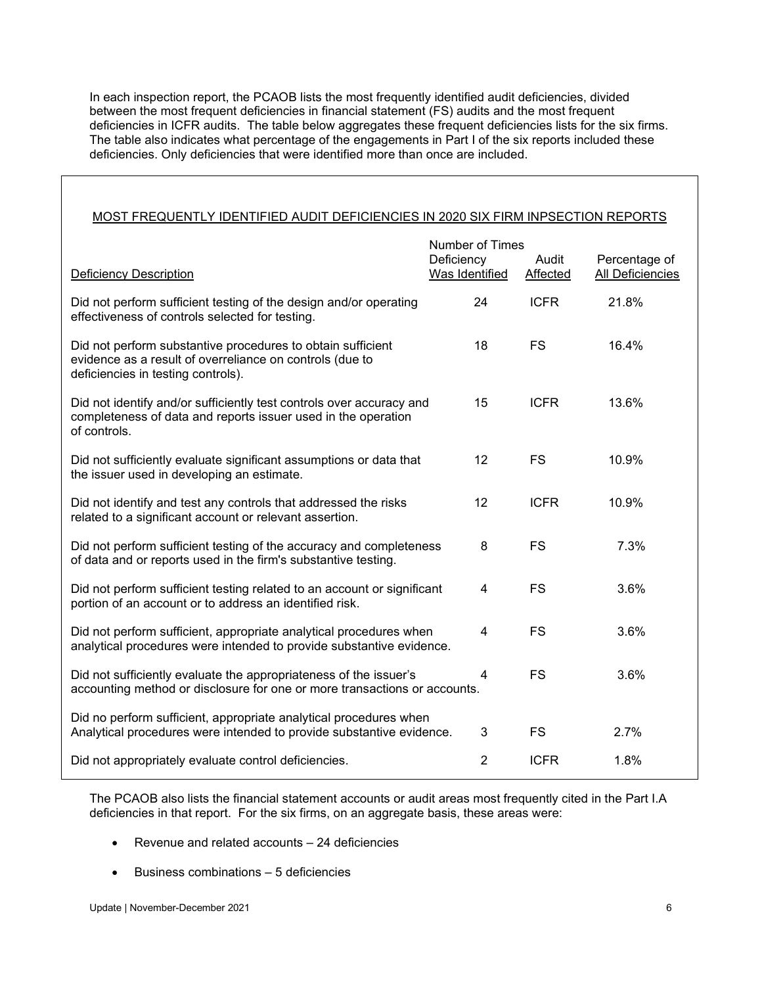In each inspection report, the PCAOB lists the most frequently identified audit deficiencies, divided between the most frequent deficiencies in financial statement (FS) audits and the most frequent deficiencies in ICFR audits. The table below aggregates these frequent deficiencies lists for the six firms. The table also indicates what percentage of the engagements in Part I of the six reports included these deficiencies. Only deficiencies that were identified more than once are included.

#### MOST FREQUENTLY IDENTIFIED AUDIT DEFICIENCIES IN 2020 SIX FIRM INPSECTION REPORTS

|                                                                                                                                                               | Number of Times              |                   |                                   |
|---------------------------------------------------------------------------------------------------------------------------------------------------------------|------------------------------|-------------------|-----------------------------------|
| Deficiency Description                                                                                                                                        | Deficiency<br>Was Identified | Audit<br>Affected | Percentage of<br>All Deficiencies |
| Did not perform sufficient testing of the design and/or operating<br>effectiveness of controls selected for testing.                                          | 24                           | <b>ICFR</b>       | 21.8%                             |
| Did not perform substantive procedures to obtain sufficient<br>evidence as a result of overreliance on controls (due to<br>deficiencies in testing controls). | 18                           | <b>FS</b>         | 16.4%                             |
| Did not identify and/or sufficiently test controls over accuracy and<br>completeness of data and reports issuer used in the operation<br>of controls.         | 15                           | <b>ICFR</b>       | 13.6%                             |
| Did not sufficiently evaluate significant assumptions or data that<br>the issuer used in developing an estimate.                                              | 12                           | <b>FS</b>         | 10.9%                             |
| Did not identify and test any controls that addressed the risks<br>related to a significant account or relevant assertion.                                    | 12                           | <b>ICFR</b>       | 10.9%                             |
| Did not perform sufficient testing of the accuracy and completeness<br>of data and or reports used in the firm's substantive testing.                         | 8                            | <b>FS</b>         | 7.3%                              |
| Did not perform sufficient testing related to an account or significant<br>portion of an account or to address an identified risk.                            | 4                            | <b>FS</b>         | 3.6%                              |
| Did not perform sufficient, appropriate analytical procedures when<br>analytical procedures were intended to provide substantive evidence.                    | 4                            | <b>FS</b>         | 3.6%                              |
| Did not sufficiently evaluate the appropriateness of the issuer's<br>accounting method or disclosure for one or more transactions or accounts.                | 4                            | <b>FS</b>         | 3.6%                              |
| Did no perform sufficient, appropriate analytical procedures when<br>Analytical procedures were intended to provide substantive evidence.                     | 3                            | <b>FS</b>         | 2.7%                              |
| Did not appropriately evaluate control deficiencies.                                                                                                          | $\overline{2}$               | <b>ICFR</b>       | 1.8%                              |

The PCAOB also lists the financial statement accounts or audit areas most frequently cited in the Part I.A deficiencies in that report. For the six firms, on an aggregate basis, these areas were:

- Revenue and related accounts 24 deficiencies
- Business combinations 5 deficiencies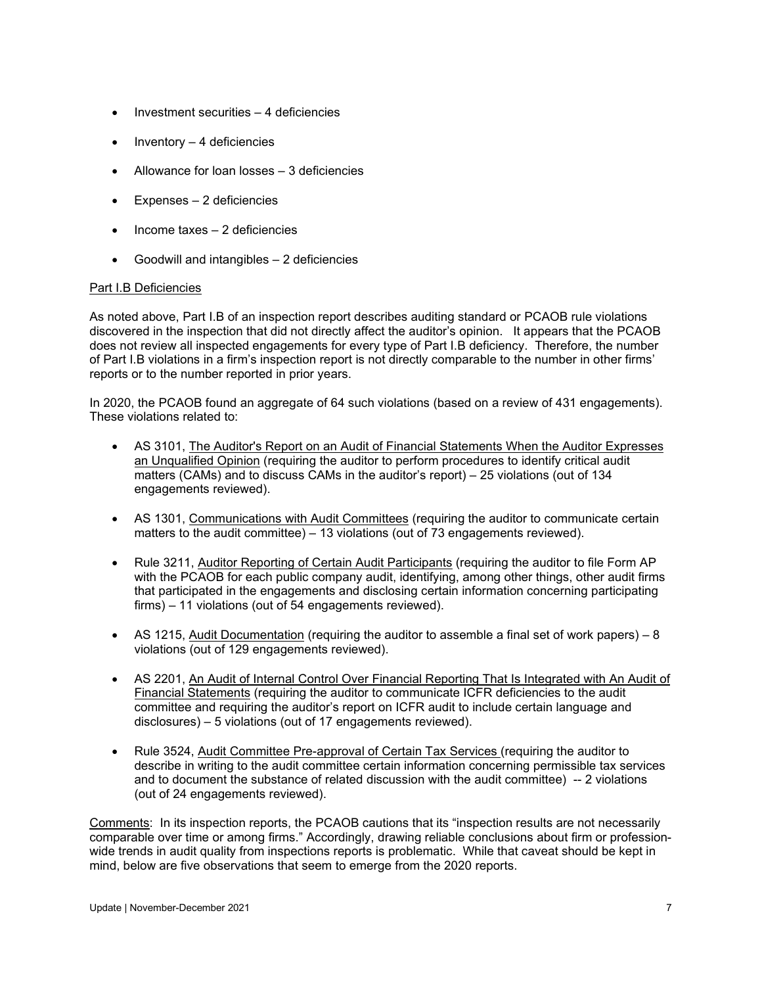- Investment securities 4 deficiencies
- $\bullet$  Inventory 4 deficiencies
- Allowance for loan losses 3 deficiencies
- Expenses 2 deficiencies
- Income taxes 2 deficiencies
- Goodwill and intangibles 2 deficiencies

#### Part I.B Deficiencies

As noted above, Part I.B of an inspection report describes auditing standard or PCAOB rule violations discovered in the inspection that did not directly affect the auditor's opinion. It appears that the PCAOB does not review all inspected engagements for every type of Part I.B deficiency. Therefore, the number of Part I.B violations in a firm's inspection report is not directly comparable to the number in other firms' reports or to the number reported in prior years.

In 2020, the PCAOB found an aggregate of 64 such violations (based on a review of 431 engagements). These violations related to:

- AS 3101, The Auditor's Report on an Audit of Financial Statements When the Auditor Expresses an Unqualified Opinion (requiring the auditor to perform procedures to identify critical audit matters (CAMs) and to discuss CAMs in the auditor's report) – 25 violations (out of 134 engagements reviewed).
- AS 1301, Communications with Audit Committees (requiring the auditor to communicate certain matters to the audit committee) – 13 violations (out of 73 engagements reviewed).
- Rule 3211, Auditor Reporting of Certain Audit Participants (requiring the auditor to file Form AP with the PCAOB for each public company audit, identifying, among other things, other audit firms that participated in the engagements and disclosing certain information concerning participating firms) – 11 violations (out of 54 engagements reviewed).
- AS 1215, Audit Documentation (requiring the auditor to assemble a final set of work papers) 8 violations (out of 129 engagements reviewed).
- AS 2201, An Audit of Internal Control Over Financial Reporting That Is Integrated with An Audit of Financial Statements (requiring the auditor to communicate ICFR deficiencies to the audit committee and requiring the auditor's report on ICFR audit to include certain language and disclosures) – 5 violations (out of 17 engagements reviewed).
- Rule 3524, Audit Committee Pre-approval of Certain Tax Services (requiring the auditor to describe in writing to the audit committee certain information concerning permissible tax services and to document the substance of related discussion with the audit committee) -- 2 violations (out of 24 engagements reviewed).

Comments: In its inspection reports, the PCAOB cautions that its "inspection results are not necessarily comparable over time or among firms." Accordingly, drawing reliable conclusions about firm or professionwide trends in audit quality from inspections reports is problematic. While that caveat should be kept in mind, below are five observations that seem to emerge from the 2020 reports.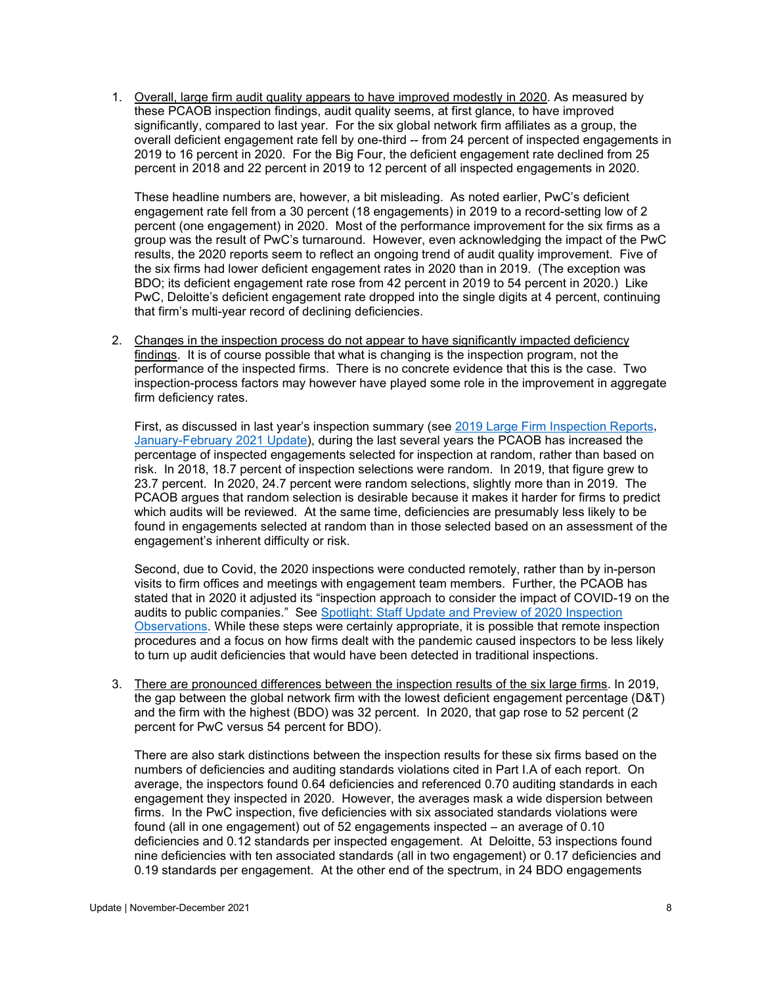1. Overall, large firm audit quality appears to have improved modestly in 2020. As measured by these PCAOB inspection findings, audit quality seems, at first glance, to have improved significantly, compared to last year. For the six global network firm affiliates as a group, the overall deficient engagement rate fell by one-third -- from 24 percent of inspected engagements in 2019 to 16 percent in 2020. For the Big Four, the deficient engagement rate declined from 25 percent in 2018 and 22 percent in 2019 to 12 percent of all inspected engagements in 2020.

These headline numbers are, however, a bit misleading. As noted earlier, PwC's deficient engagement rate fell from a 30 percent (18 engagements) in 2019 to a record-setting low of 2 percent (one engagement) in 2020. Most of the performance improvement for the six firms as a group was the result of PwC's turnaround. However, even acknowledging the impact of the PwC results, the 2020 reports seem to reflect an ongoing trend of audit quality improvement. Five of the six firms had lower deficient engagement rates in 2020 than in 2019. (The exception was BDO; its deficient engagement rate rose from 42 percent in 2019 to 54 percent in 2020.) Like PwC, Deloitte's deficient engagement rate dropped into the single digits at 4 percent, continuing that firm's multi-year record of declining deficiencies.

2. Changes in the inspection process do not appear to have significantly impacted deficiency findings. It is of course possible that what is changing is the inspection program, not the performance of the inspected firms. There is no concrete evidence that this is the case. Two inspection-process factors may however have played some role in the improvement in aggregate firm deficiency rates.

First, as discussed in last year's inspection summary (see [2019 Large Firm Inspection Reports,](https://www.auditupdate.com/post/2019-pcaob-large-firm-inspection-reports) [January-February 2021 Update\)](https://b65438bf-9321-45db-8f57-d57780f6c776.filesusr.com/ugd/6ebb47_b87457cf2a6848e8aff37716281e8778.pdf), during the last several years the PCAOB has increased the percentage of inspected engagements selected for inspection at random, rather than based on risk. In 2018, 18.7 percent of inspection selections were random. In 2019, that figure grew to 23.7 percent. In 2020, 24.7 percent were random selections, slightly more than in 2019. The PCAOB argues that random selection is desirable because it makes it harder for firms to predict which audits will be reviewed. At the same time, deficiencies are presumably less likely to be found in engagements selected at random than in those selected based on an assessment of the engagement's inherent difficulty or risk.

Second, due to Covid, the 2020 inspections were conducted remotely, rather than by in-person visits to firm offices and meetings with engagement team members. Further, the PCAOB has stated that in 2020 it adjusted its "inspection approach to consider the impact of COVID-19 on the audits to public companies." See [Spotlight: Staff Update and Preview of 2020 Inspection](https://pcaob-assets.azureedge.net/pcaob-dev/docs/default-source/documents/staff-preview-2020-inspection-observations-spotlight.pdf?sfvrsn=10819041_4)  [Observations.](https://pcaob-assets.azureedge.net/pcaob-dev/docs/default-source/documents/staff-preview-2020-inspection-observations-spotlight.pdf?sfvrsn=10819041_4) While these steps were certainly appropriate, it is possible that remote inspection procedures and a focus on how firms dealt with the pandemic caused inspectors to be less likely to turn up audit deficiencies that would have been detected in traditional inspections.

3. There are pronounced differences between the inspection results of the six large firms. In 2019, the gap between the global network firm with the lowest deficient engagement percentage (D&T) and the firm with the highest (BDO) was 32 percent. In 2020, that gap rose to 52 percent (2 percent for PwC versus 54 percent for BDO).

There are also stark distinctions between the inspection results for these six firms based on the numbers of deficiencies and auditing standards violations cited in Part I.A of each report. On average, the inspectors found 0.64 deficiencies and referenced 0.70 auditing standards in each engagement they inspected in 2020. However, the averages mask a wide dispersion between firms. In the PwC inspection, five deficiencies with six associated standards violations were found (all in one engagement) out of 52 engagements inspected – an average of 0.10 deficiencies and 0.12 standards per inspected engagement. At Deloitte, 53 inspections found nine deficiencies with ten associated standards (all in two engagement) or 0.17 deficiencies and 0.19 standards per engagement. At the other end of the spectrum, in 24 BDO engagements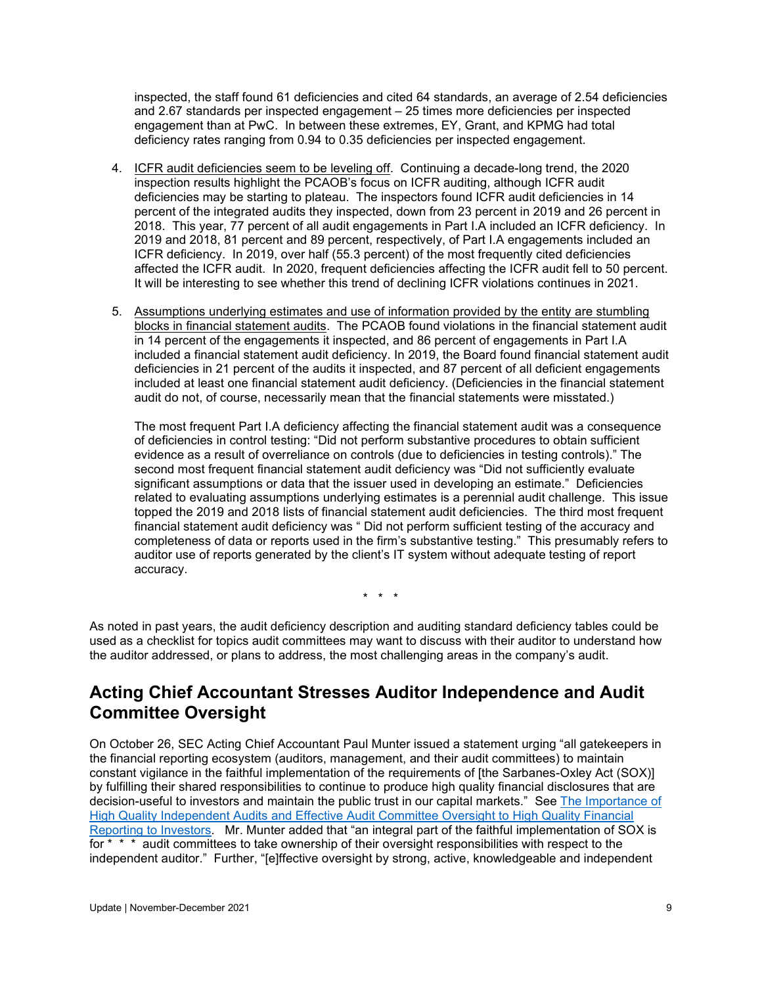inspected, the staff found 61 deficiencies and cited 64 standards, an average of 2.54 deficiencies and 2.67 standards per inspected engagement – 25 times more deficiencies per inspected engagement than at PwC. In between these extremes, EY, Grant, and KPMG had total deficiency rates ranging from 0.94 to 0.35 deficiencies per inspected engagement.

- 4. ICFR audit deficiencies seem to be leveling off. Continuing a decade-long trend, the 2020 inspection results highlight the PCAOB's focus on ICFR auditing, although ICFR audit deficiencies may be starting to plateau. The inspectors found ICFR audit deficiencies in 14 percent of the integrated audits they inspected, down from 23 percent in 2019 and 26 percent in 2018. This year, 77 percent of all audit engagements in Part I.A included an ICFR deficiency. In 2019 and 2018, 81 percent and 89 percent, respectively, of Part I.A engagements included an ICFR deficiency. In 2019, over half (55.3 percent) of the most frequently cited deficiencies affected the ICFR audit. In 2020, frequent deficiencies affecting the ICFR audit fell to 50 percent. It will be interesting to see whether this trend of declining ICFR violations continues in 2021.
- 5. Assumptions underlying estimates and use of information provided by the entity are stumbling blocks in financial statement audits. The PCAOB found violations in the financial statement audit in 14 percent of the engagements it inspected, and 86 percent of engagements in Part I.A included a financial statement audit deficiency. In 2019, the Board found financial statement audit deficiencies in 21 percent of the audits it inspected, and 87 percent of all deficient engagements included at least one financial statement audit deficiency. (Deficiencies in the financial statement audit do not, of course, necessarily mean that the financial statements were misstated.)

The most frequent Part I.A deficiency affecting the financial statement audit was a consequence of deficiencies in control testing: "Did not perform substantive procedures to obtain sufficient evidence as a result of overreliance on controls (due to deficiencies in testing controls)." The second most frequent financial statement audit deficiency was "Did not sufficiently evaluate significant assumptions or data that the issuer used in developing an estimate." Deficiencies related to evaluating assumptions underlying estimates is a perennial audit challenge. This issue topped the 2019 and 2018 lists of financial statement audit deficiencies. The third most frequent financial statement audit deficiency was " Did not perform sufficient testing of the accuracy and completeness of data or reports used in the firm's substantive testing." This presumably refers to auditor use of reports generated by the client's IT system without adequate testing of report accuracy.

\* \* \*

As noted in past years, the audit deficiency description and auditing standard deficiency tables could be used as a checklist for topics audit committees may want to discuss with their auditor to understand how the auditor addressed, or plans to address, the most challenging areas in the company's audit.

## <span id="page-8-0"></span>**Acting Chief Accountant Stresses Auditor Independence and Audit Committee Oversight**

On October 26, SEC Acting Chief Accountant Paul Munter issued a statement urging "all gatekeepers in the financial reporting ecosystem (auditors, management, and their audit committees) to maintain constant vigilance in the faithful implementation of the requirements of [the Sarbanes-Oxley Act (SOX)] by fulfilling their shared responsibilities to continue to produce high quality financial disclosures that are decision-useful to investors and maintain the public trust in our capital markets." See The Importance of [High Quality Independent Audits and Effective Audit Committee Oversight to High Quality Financial](https://www.sec.gov/news/statement/munter-audit-2021-10-26)  [Reporting to Investors.](https://www.sec.gov/news/statement/munter-audit-2021-10-26) Mr. Munter added that "an integral part of the faithful implementation of SOX is for  $* * *$  audit committees to take ownership of their oversight responsibilities with respect to the independent auditor." Further, "[e]ffective oversight by strong, active, knowledgeable and independent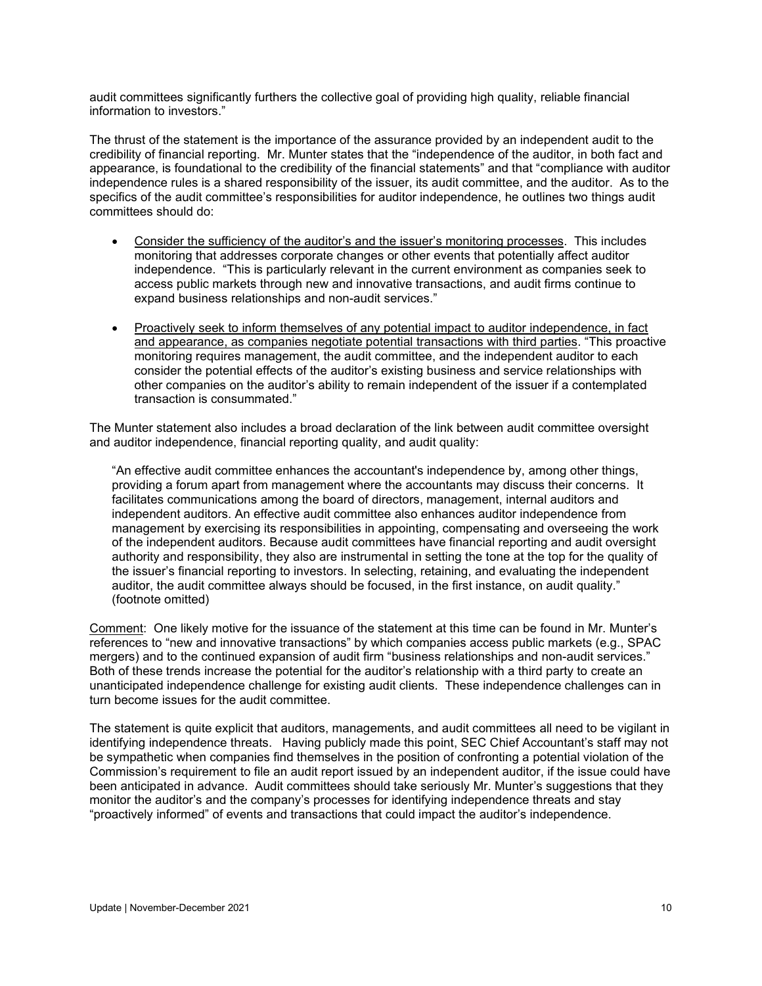audit committees significantly furthers the collective goal of providing high quality, reliable financial information to investors."

The thrust of the statement is the importance of the assurance provided by an independent audit to the credibility of financial reporting. Mr. Munter states that the "independence of the auditor, in both fact and appearance, is foundational to the credibility of the financial statements" and that "compliance with auditor independence rules is a shared responsibility of the issuer, its audit committee, and the auditor. As to the specifics of the audit committee's responsibilities for auditor independence, he outlines two things audit committees should do:

- Consider the sufficiency of the auditor's and the issuer's monitoring processes. This includes monitoring that addresses corporate changes or other events that potentially affect auditor independence. "This is particularly relevant in the current environment as companies seek to access public markets through new and innovative transactions, and audit firms continue to expand business relationships and non-audit services."
- Proactively seek to inform themselves of any potential impact to auditor independence, in fact and appearance, as companies negotiate potential transactions with third parties. "This proactive monitoring requires management, the audit committee, and the independent auditor to each consider the potential effects of the auditor's existing business and service relationships with other companies on the auditor's ability to remain independent of the issuer if a contemplated transaction is consummated."

The Munter statement also includes a broad declaration of the link between audit committee oversight and auditor independence, financial reporting quality, and audit quality:

"An effective audit committee enhances the accountant's independence by, among other things, providing a forum apart from management where the accountants may discuss their concerns. It facilitates communications among the board of directors, management, internal auditors and independent auditors. An effective audit committee also enhances auditor independence from management by exercising its responsibilities in appointing, compensating and overseeing the work of the independent auditors. Because audit committees have financial reporting and audit oversight authority and responsibility, they also are instrumental in setting the tone at the top for the quality of the issuer's financial reporting to investors. In selecting, retaining, and evaluating the independent auditor, the audit committee always should be focused, in the first instance, on audit quality." (footnote omitted)

Comment: One likely motive for the issuance of the statement at this time can be found in Mr. Munter's references to "new and innovative transactions" by which companies access public markets (e.g., SPAC mergers) and to the continued expansion of audit firm "business relationships and non-audit services." Both of these trends increase the potential for the auditor's relationship with a third party to create an unanticipated independence challenge for existing audit clients. These independence challenges can in turn become issues for the audit committee.

The statement is quite explicit that auditors, managements, and audit committees all need to be vigilant in identifying independence threats. Having publicly made this point, SEC Chief Accountant's staff may not be sympathetic when companies find themselves in the position of confronting a potential violation of the Commission's requirement to file an audit report issued by an independent auditor, if the issue could have been anticipated in advance. Audit committees should take seriously Mr. Munter's suggestions that they monitor the auditor's and the company's processes for identifying independence threats and stay "proactively informed" of events and transactions that could impact the auditor's independence.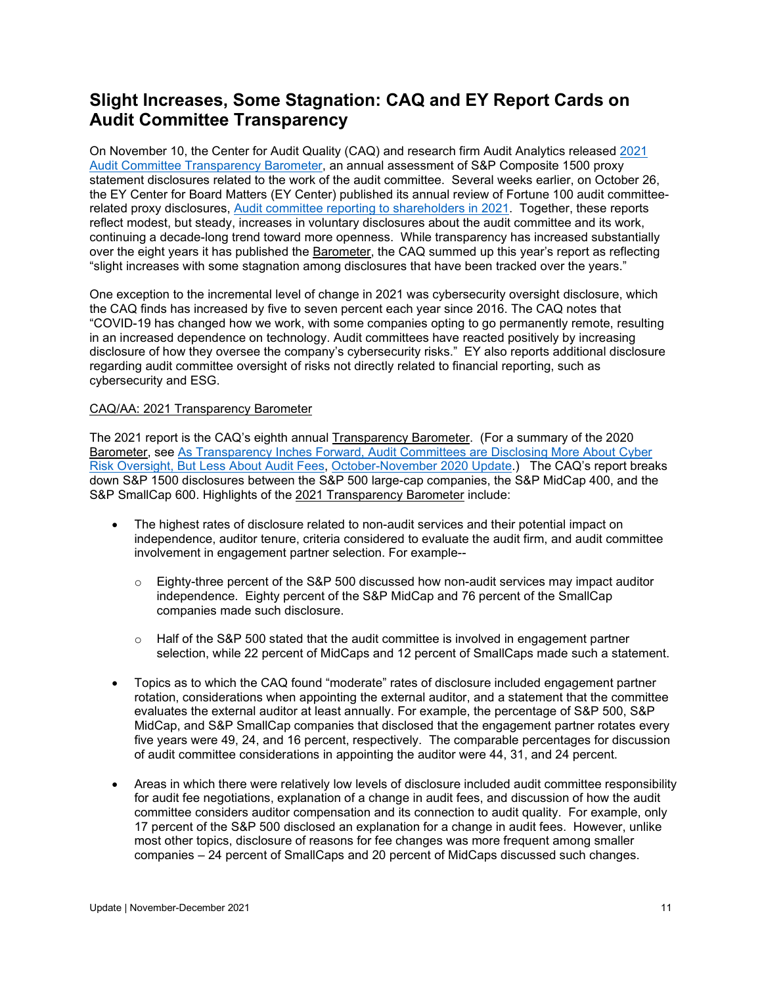## <span id="page-10-0"></span>**Slight Increases, Some Stagnation: CAQ and EY Report Cards on Audit Committee Transparency**

On November 10, the Center for Audit Quality (CAQ) and research firm Audit Analytics released [2021](https://www.thecaq.org/2021-barometer/)  [Audit Committee Transparency Barometer,](https://www.thecaq.org/2021-barometer/) an annual assessment of S&P Composite 1500 proxy statement disclosures related to the work of the audit committee. Several weeks earlier, on October 26, the EY Center for Board Matters (EY Center) published its annual review of Fortune 100 audit committeerelated proxy disclosures, [Audit committee reporting to shareholders in 2021.](https://www.ey.com/en_us/board-matters/audit-committee-reporting-to-shareholders) Together, these reports reflect modest, but steady, increases in voluntary disclosures about the audit committee and its work, continuing a decade-long trend toward more openness. While transparency has increased substantially over the eight years it has published the Barometer, the CAQ summed up this year's report as reflecting "slight increases with some stagnation among disclosures that have been tracked over the years."

One exception to the incremental level of change in 2021 was cybersecurity oversight disclosure, which the CAQ finds has increased by five to seven percent each year since 2016. The CAQ notes that "COVID-19 has changed how we work, with some companies opting to go permanently remote, resulting in an increased dependence on technology. Audit committees have reacted positively by increasing disclosure of how they oversee the company's cybersecurity risks." EY also reports additional disclosure regarding audit committee oversight of risks not directly related to financial reporting, such as cybersecurity and ESG.

### CAQ/AA: 2021 Transparency Barometer

The 2021 report is the CAQ's eighth annual Transparency Barometer. (For a summary of the 2020 Barometer, see [As Transparency Inches Forward, Audit Committees are Disclosing More About Cyber](https://www.auditupdate.com/post/as-transparency-inches-forward-audit-committees-are-disclosing-more-about-cyber-risk-oversight)  [Risk Oversight, But Less About Audit Fees,](https://www.auditupdate.com/post/as-transparency-inches-forward-audit-committees-are-disclosing-more-about-cyber-risk-oversight) [October-November 2020 Update.](https://b65438bf-9321-45db-8f57-d57780f6c776.filesusr.com/ugd/6ebb47_ce978c7c2c5443648801b491ce8b6685.pdf)) The CAQ's report breaks down S&P 1500 disclosures between the S&P 500 large-cap companies, the S&P MidCap 400, and the S&P SmallCap 600. Highlights of the 2021 Transparency Barometer include:

- The highest rates of disclosure related to non-audit services and their potential impact on independence, auditor tenure, criteria considered to evaluate the audit firm, and audit committee involvement in engagement partner selection. For example--
	- $\circ$  Eighty-three percent of the S&P 500 discussed how non-audit services may impact auditor independence. Eighty percent of the S&P MidCap and 76 percent of the SmallCap companies made such disclosure.
	- $\circ$  Half of the S&P 500 stated that the audit committee is involved in engagement partner selection, while 22 percent of MidCaps and 12 percent of SmallCaps made such a statement.
- Topics as to which the CAQ found "moderate" rates of disclosure included engagement partner rotation, considerations when appointing the external auditor, and a statement that the committee evaluates the external auditor at least annually. For example, the percentage of S&P 500, S&P MidCap, and S&P SmallCap companies that disclosed that the engagement partner rotates every five years were 49, 24, and 16 percent, respectively. The comparable percentages for discussion of audit committee considerations in appointing the auditor were 44, 31, and 24 percent.
- Areas in which there were relatively low levels of disclosure included audit committee responsibility for audit fee negotiations, explanation of a change in audit fees, and discussion of how the audit committee considers auditor compensation and its connection to audit quality. For example, only 17 percent of the S&P 500 disclosed an explanation for a change in audit fees. However, unlike most other topics, disclosure of reasons for fee changes was more frequent among smaller companies – 24 percent of SmallCaps and 20 percent of MidCaps discussed such changes.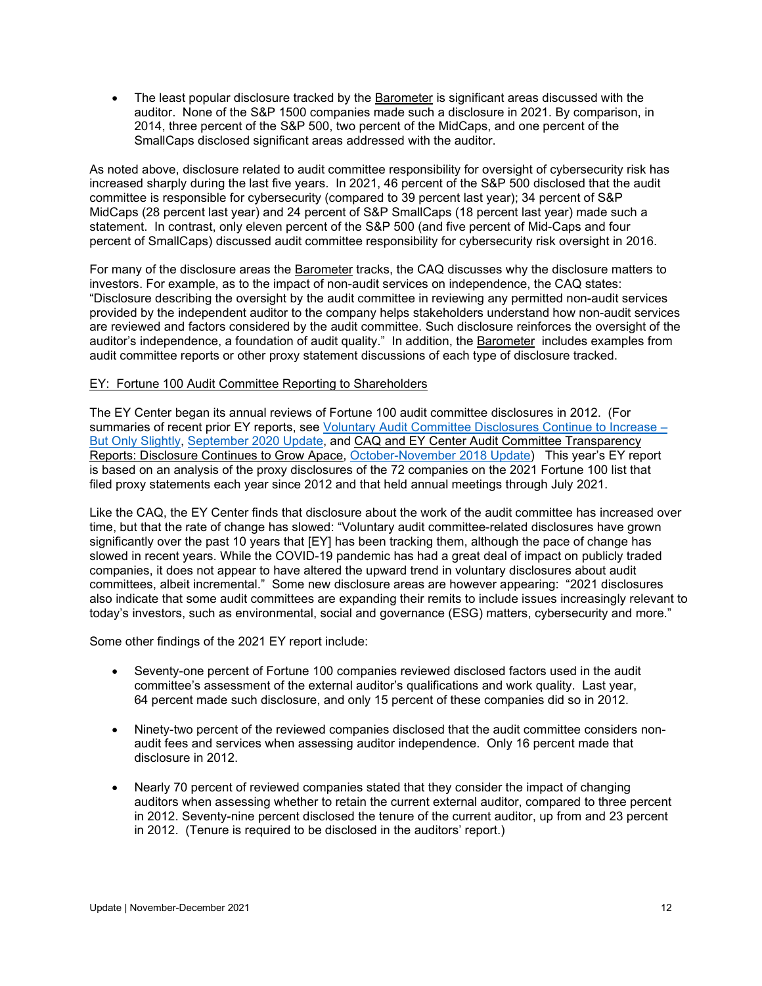• The least popular disclosure tracked by the Barometer is significant areas discussed with the auditor. None of the S&P 1500 companies made such a disclosure in 2021. By comparison, in 2014, three percent of the S&P 500, two percent of the MidCaps, and one percent of the SmallCaps disclosed significant areas addressed with the auditor.

As noted above, disclosure related to audit committee responsibility for oversight of cybersecurity risk has increased sharply during the last five years. In 2021, 46 percent of the S&P 500 disclosed that the audit committee is responsible for cybersecurity (compared to 39 percent last year); 34 percent of S&P MidCaps (28 percent last year) and 24 percent of S&P SmallCaps (18 percent last year) made such a statement. In contrast, only eleven percent of the S&P 500 (and five percent of Mid-Caps and four percent of SmallCaps) discussed audit committee responsibility for cybersecurity risk oversight in 2016.

For many of the disclosure areas the Barometer tracks, the CAQ discusses why the disclosure matters to investors. For example, as to the impact of non-audit services on independence, the CAQ states: "Disclosure describing the oversight by the audit committee in reviewing any permitted non-audit services provided by the independent auditor to the company helps stakeholders understand how non-audit services are reviewed and factors considered by the audit committee. Such disclosure reinforces the oversight of the auditor's independence, a foundation of audit quality." In addition, the Barometer includes examples from audit committee reports or other proxy statement discussions of each type of disclosure tracked.

#### EY: Fortune 100 Audit Committee Reporting to Shareholders

The EY Center began its annual reviews of Fortune 100 audit committee disclosures in 2012. (For summaries of recent prior EY reports, see [Voluntary Audit Committee Disclosures Continue to Increase –](https://www.auditupdate.com/post/voluntary-audit-committee-disclosures-continue-to-increase-but-only-slightly) [But Only Slightly,](https://www.auditupdate.com/post/voluntary-audit-committee-disclosures-continue-to-increase-but-only-slightly) [September 2020 Update,](https://b65438bf-9321-45db-8f57-d57780f6c776.filesusr.com/ugd/6ebb47_bf0bd712da624dba921824a26f9557eb.pdf) and CAQ and EY Center Audit Committee Transparency Reports: Disclosure Continues to Grow Apace, [October-November 2018 Update\)](https://www.bakermckenzie.com/-/media/files/insight/publications/2018/11/al_auditupdateno47_nov2018.pdf) This year's EY report is based on an analysis of the proxy disclosures of the 72 companies on the 2021 Fortune 100 list that filed proxy statements each year since 2012 and that held annual meetings through July 2021.

Like the CAQ, the EY Center finds that disclosure about the work of the audit committee has increased over time, but that the rate of change has slowed: "Voluntary audit committee-related disclosures have grown significantly over the past 10 years that [EY] has been tracking them, although the pace of change has slowed in recent years. While the COVID-19 pandemic has had a great deal of impact on publicly traded companies, it does not appear to have altered the upward trend in voluntary disclosures about audit committees, albeit incremental." Some new disclosure areas are however appearing: "2021 disclosures also indicate that some audit committees are expanding their remits to include issues increasingly relevant to today's investors, such as environmental, social and governance (ESG) matters, cybersecurity and more."

Some other findings of the 2021 EY report include:

- Seventy-one percent of Fortune 100 companies reviewed disclosed factors used in the audit committee's assessment of the external auditor's qualifications and work quality. Last year, 64 percent made such disclosure, and only 15 percent of these companies did so in 2012.
- Ninety-two percent of the reviewed companies disclosed that the audit committee considers nonaudit fees and services when assessing auditor independence. Only 16 percent made that disclosure in 2012.
- Nearly 70 percent of reviewed companies stated that they consider the impact of changing auditors when assessing whether to retain the current external auditor, compared to three percent in 2012. Seventy-nine percent disclosed the tenure of the current auditor, up from and 23 percent in 2012. (Tenure is required to be disclosed in the auditors' report.)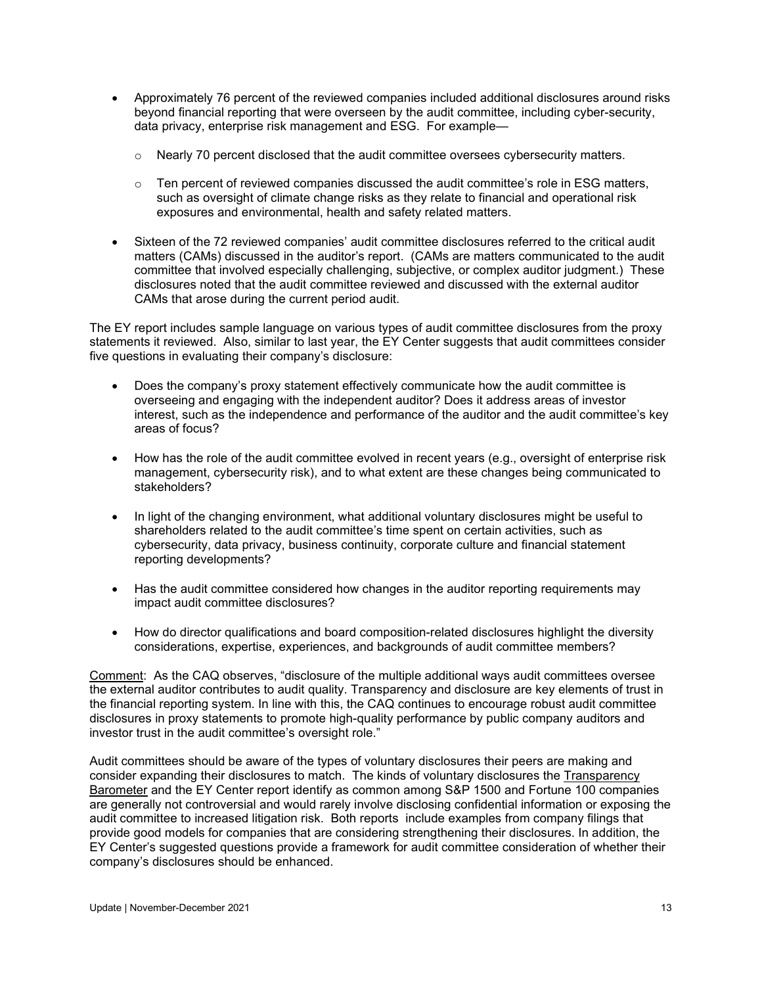- Approximately 76 percent of the reviewed companies included additional disclosures around risks beyond financial reporting that were overseen by the audit committee, including cyber-security, data privacy, enterprise risk management and ESG. For example—
	- $\circ$  Nearly 70 percent disclosed that the audit committee oversees cybersecurity matters.
	- $\circ$  Ten percent of reviewed companies discussed the audit committee's role in ESG matters, such as oversight of climate change risks as they relate to financial and operational risk exposures and environmental, health and safety related matters.
- Sixteen of the 72 reviewed companies' audit committee disclosures referred to the critical audit matters (CAMs) discussed in the auditor's report. (CAMs are matters communicated to the audit committee that involved especially challenging, subjective, or complex auditor judgment.) These disclosures noted that the audit committee reviewed and discussed with the external auditor CAMs that arose during the current period audit.

The EY report includes sample language on various types of audit committee disclosures from the proxy statements it reviewed. Also, similar to last year, the EY Center suggests that audit committees consider five questions in evaluating their company's disclosure:

- Does the company's proxy statement effectively communicate how the audit committee is overseeing and engaging with the independent auditor? Does it address areas of investor interest, such as the independence and performance of the auditor and the audit committee's key areas of focus?
- How has the role of the audit committee evolved in recent years (e.g., oversight of enterprise risk management, cybersecurity risk), and to what extent are these changes being communicated to stakeholders?
- In light of the changing environment, what additional voluntary disclosures might be useful to shareholders related to the audit committee's time spent on certain activities, such as cybersecurity, data privacy, business continuity, corporate culture and financial statement reporting developments?
- Has the audit committee considered how changes in the auditor reporting requirements may impact audit committee disclosures?
- How do director qualifications and board composition-related disclosures highlight the diversity considerations, expertise, experiences, and backgrounds of audit committee members?

Comment: As the CAQ observes, "disclosure of the multiple additional ways audit committees oversee the external auditor contributes to audit quality. Transparency and disclosure are key elements of trust in the financial reporting system. In line with this, the CAQ continues to encourage robust audit committee disclosures in proxy statements to promote high-quality performance by public company auditors and investor trust in the audit committee's oversight role."

Audit committees should be aware of the types of voluntary disclosures their peers are making and consider expanding their disclosures to match. The kinds of voluntary disclosures the Transparency Barometer and the EY Center report identify as common among S&P 1500 and Fortune 100 companies are generally not controversial and would rarely involve disclosing confidential information or exposing the audit committee to increased litigation risk. Both reports include examples from company filings that provide good models for companies that are considering strengthening their disclosures. In addition, the EY Center's suggested questions provide a framework for audit committee consideration of whether their company's disclosures should be enhanced.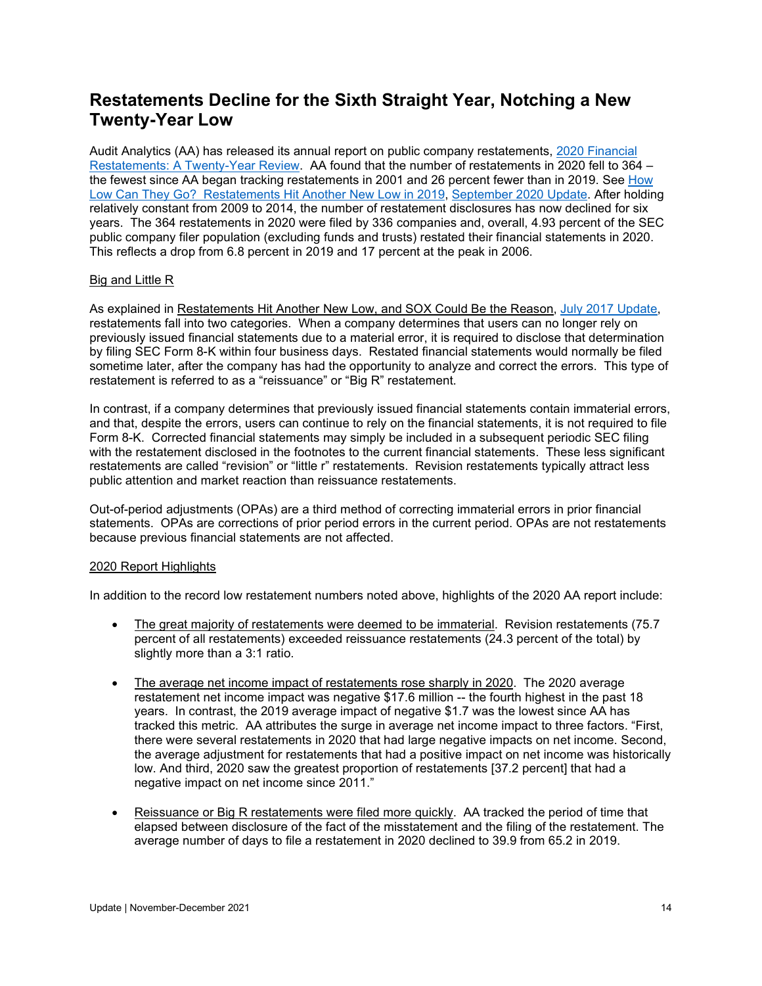## <span id="page-13-0"></span>**Restatements Decline for the Sixth Straight Year, Notching a New Twenty-Year Low**

Audit Analytics (AA) has released its annual report on public company restatements, [2020 Financial](https://go.auditanalytics.com/2020-Restatements-Report)  [Restatements: A Twenty-Year Review.](https://go.auditanalytics.com/2020-Restatements-Report) AA found that the number of restatements in 2020 fell to 364 – the fewest since AA began tracking restatements in 2001 and 26 percent fewer than in 2019. See [How](https://www.auditupdate.com/post/how-low-can-they-go-restatements-hit-another-new-low-in-2019)  [Low Can They Go? Restatements Hit Another New Low in 2019,](https://www.auditupdate.com/post/how-low-can-they-go-restatements-hit-another-new-low-in-2019) [September 2020 Update.](https://www.auditupdate.com/_files/ugd/6ebb47_bf0bd712da624dba921824a26f9557eb.pdf) After holding relatively constant from 2009 to 2014, the number of restatement disclosures has now declined for six years. The 364 restatements in 2020 were filed by 336 companies and, overall, 4.93 percent of the SEC public company filer population (excluding funds and trusts) restated their financial statements in 2020. This reflects a drop from 6.8 percent in 2019 and 17 percent at the peak in 2006.

#### Big and Little R

As explained in Restatements Hit Another New Low, and SOX Could Be the Reason, [July 2017 Update,](https://www.bakermckenzie.com/-/media/files/insight/publications/2017/07/nl_na_auditupdate_jul2017.pdf?la=en) restatements fall into two categories. When a company determines that users can no longer rely on previously issued financial statements due to a material error, it is required to disclose that determination by filing SEC Form 8-K within four business days. Restated financial statements would normally be filed sometime later, after the company has had the opportunity to analyze and correct the errors. This type of restatement is referred to as a "reissuance" or "Big R" restatement.

In contrast, if a company determines that previously issued financial statements contain immaterial errors, and that, despite the errors, users can continue to rely on the financial statements, it is not required to file Form 8-K. Corrected financial statements may simply be included in a subsequent periodic SEC filing with the restatement disclosed in the footnotes to the current financial statements. These less significant restatements are called "revision" or "little r" restatements. Revision restatements typically attract less public attention and market reaction than reissuance restatements.

Out-of-period adjustments (OPAs) are a third method of correcting immaterial errors in prior financial statements. OPAs are corrections of prior period errors in the current period. OPAs are not restatements because previous financial statements are not affected.

#### 2020 Report Highlights

In addition to the record low restatement numbers noted above, highlights of the 2020 AA report include:

- The great majority of restatements were deemed to be immaterial. Revision restatements (75.7) percent of all restatements) exceeded reissuance restatements (24.3 percent of the total) by slightly more than a 3:1 ratio.
- The average net income impact of restatements rose sharply in 2020. The 2020 average restatement net income impact was negative \$17.6 million -- the fourth highest in the past 18 years. In contrast, the 2019 average impact of negative \$1.7 was the lowest since AA has tracked this metric. AA attributes the surge in average net income impact to three factors. "First, there were several restatements in 2020 that had large negative impacts on net income. Second, the average adjustment for restatements that had a positive impact on net income was historically low. And third, 2020 saw the greatest proportion of restatements [37.2 percent] that had a negative impact on net income since 2011."
- Reissuance or Big R restatements were filed more quickly. AA tracked the period of time that elapsed between disclosure of the fact of the misstatement and the filing of the restatement. The average number of days to file a restatement in 2020 declined to 39.9 from 65.2 in 2019.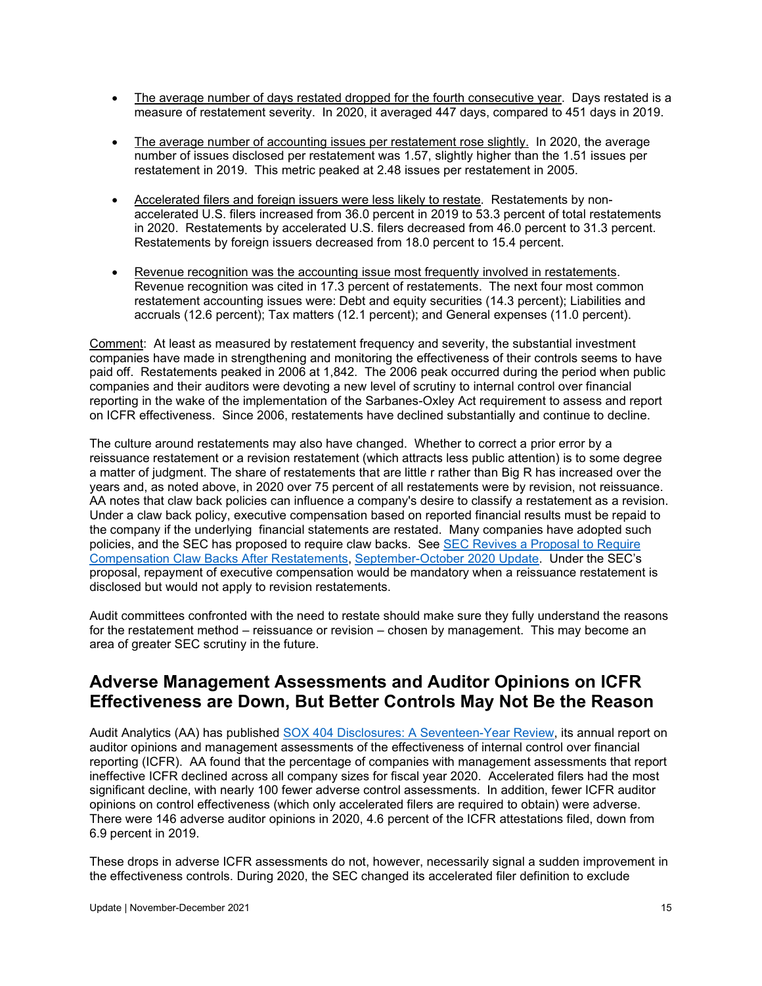- The average number of days restated dropped for the fourth consecutive year. Days restated is a measure of restatement severity. In 2020, it averaged 447 days, compared to 451 days in 2019.
- The average number of accounting issues per restatement rose slightly. In 2020, the average number of issues disclosed per restatement was 1.57, slightly higher than the 1.51 issues per restatement in 2019. This metric peaked at 2.48 issues per restatement in 2005.
- Accelerated filers and foreign issuers were less likely to restate. Restatements by nonaccelerated U.S. filers increased from 36.0 percent in 2019 to 53.3 percent of total restatements in 2020. Restatements by accelerated U.S. filers decreased from 46.0 percent to 31.3 percent. Restatements by foreign issuers decreased from 18.0 percent to 15.4 percent.
- Revenue recognition was the accounting issue most frequently involved in restatements. Revenue recognition was cited in 17.3 percent of restatements. The next four most common restatement accounting issues were: Debt and equity securities (14.3 percent); Liabilities and accruals (12.6 percent); Tax matters (12.1 percent); and General expenses (11.0 percent).

Comment: At least as measured by restatement frequency and severity, the substantial investment companies have made in strengthening and monitoring the effectiveness of their controls seems to have paid off. Restatements peaked in 2006 at 1,842. The 2006 peak occurred during the period when public companies and their auditors were devoting a new level of scrutiny to internal control over financial reporting in the wake of the implementation of the Sarbanes-Oxley Act requirement to assess and report on ICFR effectiveness. Since 2006, restatements have declined substantially and continue to decline.

The culture around restatements may also have changed. Whether to correct a prior error by a reissuance restatement or a revision restatement (which attracts less public attention) is to some degree a matter of judgment. The share of restatements that are little r rather than Big R has increased over the years and, as noted above, in 2020 over 75 percent of all restatements were by revision, not reissuance. AA notes that claw back policies can influence a company's desire to classify a restatement as a revision. Under a claw back policy, executive compensation based on reported financial results must be repaid to the company if the underlying financial statements are restated. Many companies have adopted such policies, and the SEC has proposed to require claw backs. See [SEC Revives a Proposal to Require](https://www.auditupdate.com/post/sec-revives-a-proposal-to-require-compensation-claw-backs-after-restatements)  [Compensation Claw Backs After Restatements,](https://www.auditupdate.com/post/sec-revives-a-proposal-to-require-compensation-claw-backs-after-restatements) [September-October 2020 Update.](https://www.auditupdate.com/_files/ugd/6ebb47_d5d627d87ef6444ead296042ddc7917c.pdf) Under the SEC's proposal, repayment of executive compensation would be mandatory when a reissuance restatement is disclosed but would not apply to revision restatements.

Audit committees confronted with the need to restate should make sure they fully understand the reasons for the restatement method – reissuance or revision – chosen by management. This may become an area of greater SEC scrutiny in the future.

### <span id="page-14-0"></span>**Adverse Management Assessments and Auditor Opinions on ICFR Effectiveness are Down, But Better Controls May Not Be the Reason**

Audit Analytics (AA) has published [SOX 404 Disclosures: A Seventeen-Year](https://go.auditanalytics.com/SOX404-Report-2021) Review, its annual report on auditor opinions and management assessments of the effectiveness of internal control over financial reporting (ICFR). AA found that the percentage of companies with management assessments that report ineffective ICFR declined across all company sizes for fiscal year 2020. Accelerated filers had the most significant decline, with nearly 100 fewer adverse control assessments. In addition, fewer ICFR auditor opinions on control effectiveness (which only accelerated filers are required to obtain) were adverse. There were 146 adverse auditor opinions in 2020, 4.6 percent of the ICFR attestations filed, down from 6.9 percent in 2019.

These drops in adverse ICFR assessments do not, however, necessarily signal a sudden improvement in the effectiveness controls. During 2020, the SEC changed its accelerated filer definition to exclude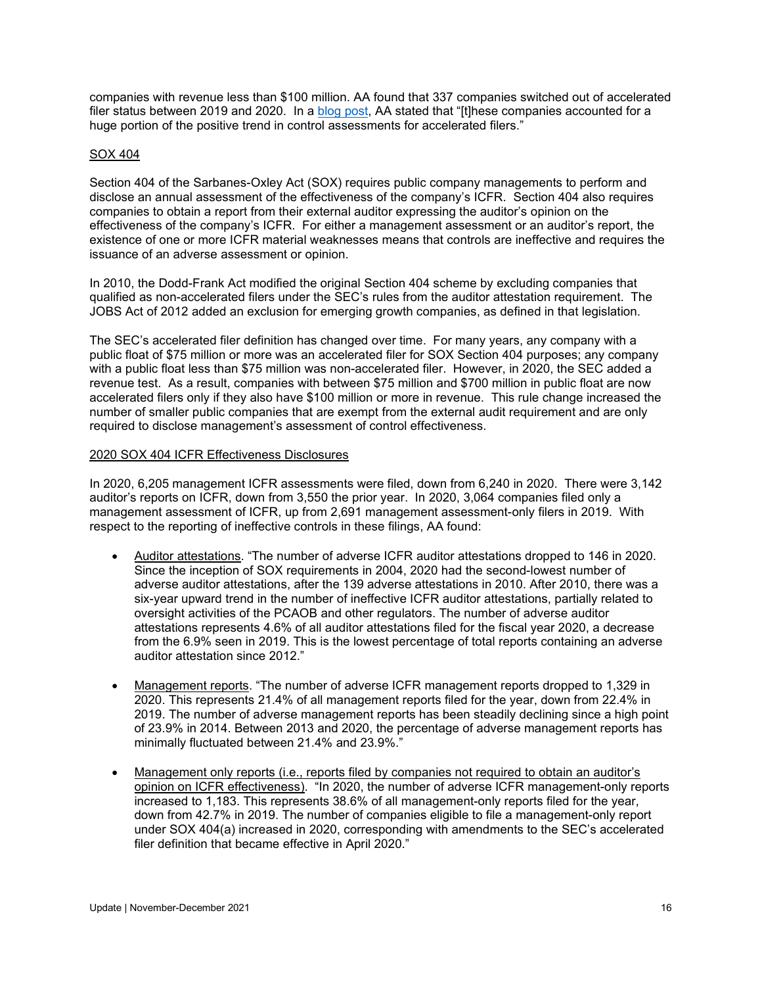companies with revenue less than \$100 million. AA found that 337 companies switched out of accelerated filer status between 2019 and 2020. In a [blog post,](https://blog.auditanalytics.com/major-improvements-seen-in-icfr-due-to-filer-status-change/) AA stated that "[t]hese companies accounted for a huge portion of the positive trend in control assessments for accelerated filers."

#### SOX 404

Section 404 of the Sarbanes-Oxley Act (SOX) requires public company managements to perform and disclose an annual assessment of the effectiveness of the company's ICFR. Section 404 also requires companies to obtain a report from their external auditor expressing the auditor's opinion on the effectiveness of the company's ICFR. For either a management assessment or an auditor's report, the existence of one or more ICFR material weaknesses means that controls are ineffective and requires the issuance of an adverse assessment or opinion.

In 2010, the Dodd-Frank Act modified the original Section 404 scheme by excluding companies that qualified as non-accelerated filers under the SEC's rules from the auditor attestation requirement. The JOBS Act of 2012 added an exclusion for emerging growth companies, as defined in that legislation.

The SEC's accelerated filer definition has changed over time. For many years, any company with a public float of \$75 million or more was an accelerated filer for SOX Section 404 purposes; any company with a public float less than \$75 million was non-accelerated filer. However, in 2020, the SEC added a revenue test. As a result, companies with between \$75 million and \$700 million in public float are now accelerated filers only if they also have \$100 million or more in revenue. This rule change increased the number of smaller public companies that are exempt from the external audit requirement and are only required to disclose management's assessment of control effectiveness.

#### 2020 SOX 404 ICFR Effectiveness Disclosures

In 2020, 6,205 management ICFR assessments were filed, down from 6,240 in 2020. There were 3,142 auditor's reports on ICFR, down from 3,550 the prior year. In 2020, 3,064 companies filed only a management assessment of ICFR, up from 2,691 management assessment-only filers in 2019. With respect to the reporting of ineffective controls in these filings, AA found:

- Auditor attestations. "The number of adverse ICFR auditor attestations dropped to 146 in 2020. Since the inception of SOX requirements in 2004, 2020 had the second-lowest number of adverse auditor attestations, after the 139 adverse attestations in 2010. After 2010, there was a six-year upward trend in the number of ineffective ICFR auditor attestations, partially related to oversight activities of the PCAOB and other regulators. The number of adverse auditor attestations represents 4.6% of all auditor attestations filed for the fiscal year 2020, a decrease from the 6.9% seen in 2019. This is the lowest percentage of total reports containing an adverse auditor attestation since 2012."
- Management reports. "The number of adverse ICFR management reports dropped to 1,329 in 2020. This represents 21.4% of all management reports filed for the year, down from 22.4% in 2019. The number of adverse management reports has been steadily declining since a high point of 23.9% in 2014. Between 2013 and 2020, the percentage of adverse management reports has minimally fluctuated between 21.4% and 23.9%."
- Management only reports (i.e., reports filed by companies not required to obtain an auditor's opinion on ICFR effectiveness). "In 2020, the number of adverse ICFR management-only reports increased to 1,183. This represents 38.6% of all management-only reports filed for the year, down from 42.7% in 2019. The number of companies eligible to file a management-only report under SOX 404(a) increased in 2020, corresponding with amendments to the SEC's accelerated filer definition that became effective in April 2020."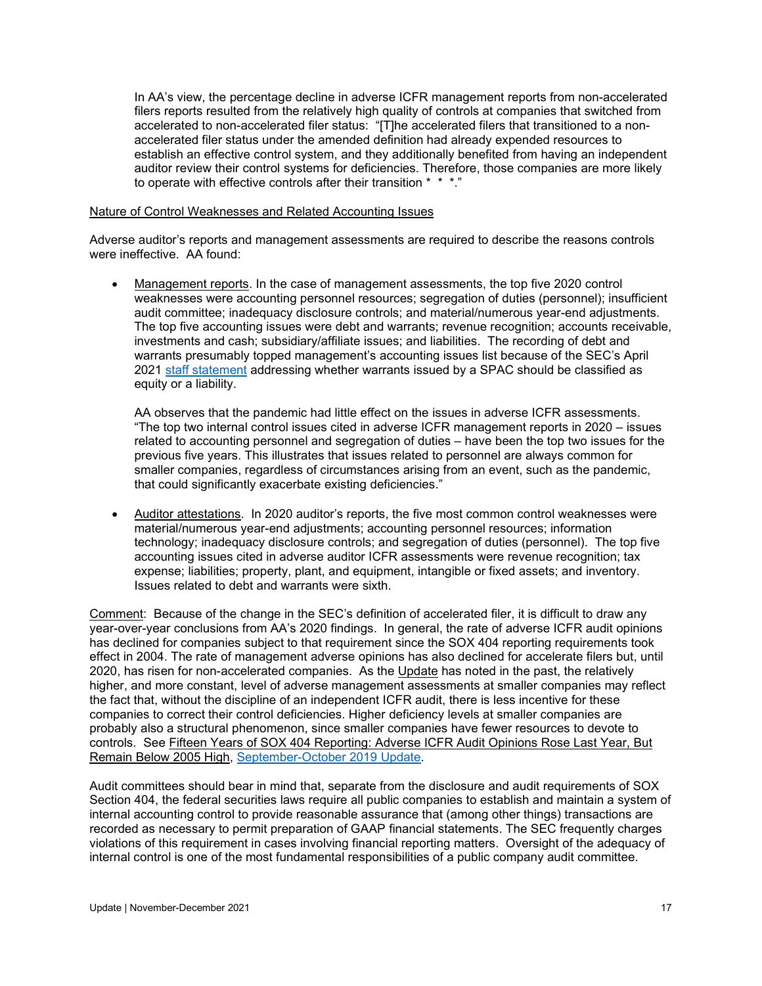In AA's view, the percentage decline in adverse ICFR management reports from non-accelerated filers reports resulted from the relatively high quality of controls at companies that switched from accelerated to non-accelerated filer status: "[T]he accelerated filers that transitioned to a nonaccelerated filer status under the amended definition had already expended resources to establish an effective control system, and they additionally benefited from having an independent auditor review their control systems for deficiencies. Therefore, those companies are more likely to operate with effective controls after their transition \* \* \*."

#### Nature of Control Weaknesses and Related Accounting Issues

Adverse auditor's reports and management assessments are required to describe the reasons controls were ineffective. AA found:

• Management reports. In the case of management assessments, the top five 2020 control weaknesses were accounting personnel resources; segregation of duties (personnel); insufficient audit committee; inadequacy disclosure controls; and material/numerous year-end adjustments. The top five accounting issues were debt and warrants; revenue recognition; accounts receivable, investments and cash; subsidiary/affiliate issues; and liabilities. The recording of debt and warrants presumably topped management's accounting issues list because of the SEC's April 2021 [staff statement](https://www.sec.gov/news/public-statement/accounting-reporting-warrants-issued-spacs) addressing whether warrants issued by a SPAC should be classified as equity or a liability.

AA observes that the pandemic had little effect on the issues in adverse ICFR assessments. "The top two internal control issues cited in adverse ICFR management reports in 2020 – issues related to accounting personnel and segregation of duties – have been the top two issues for the previous five years. This illustrates that issues related to personnel are always common for smaller companies, regardless of circumstances arising from an event, such as the pandemic, that could significantly exacerbate existing deficiencies."

• Auditor attestations. In 2020 auditor's reports, the five most common control weaknesses were material/numerous year-end adjustments; accounting personnel resources; information technology; inadequacy disclosure controls; and segregation of duties (personnel). The top five accounting issues cited in adverse auditor ICFR assessments were revenue recognition; tax expense; liabilities; property, plant, and equipment, intangible or fixed assets; and inventory. Issues related to debt and warrants were sixth.

Comment: Because of the change in the SEC's definition of accelerated filer, it is difficult to draw any year-over-year conclusions from AA's 2020 findings. In general, the rate of adverse ICFR audit opinions has declined for companies subject to that requirement since the SOX 404 reporting requirements took effect in 2004. The rate of management adverse opinions has also declined for accelerate filers but, until 2020, has risen for non-accelerated companies. As the Update has noted in the past, the relatively higher, and more constant, level of adverse management assessments at smaller companies may reflect the fact that, without the discipline of an independent ICFR audit, there is less incentive for these companies to correct their control deficiencies. Higher deficiency levels at smaller companies are probably also a structural phenomenon, since smaller companies have fewer resources to devote to controls. See Fifteen Years of SOX 404 Reporting: Adverse ICFR Audit Opinions Rose Last Year, But Remain Below 2005 High, [September-October 2019 Update.](http://www.dgoelzer.com/AuditUpdateNo55.pdf)

Audit committees should bear in mind that, separate from the disclosure and audit requirements of SOX Section 404, the federal securities laws require all public companies to establish and maintain a system of internal accounting control to provide reasonable assurance that (among other things) transactions are recorded as necessary to permit preparation of GAAP financial statements. The SEC frequently charges violations of this requirement in cases involving financial reporting matters. Oversight of the adequacy of internal control is one of the most fundamental responsibilities of a public company audit committee.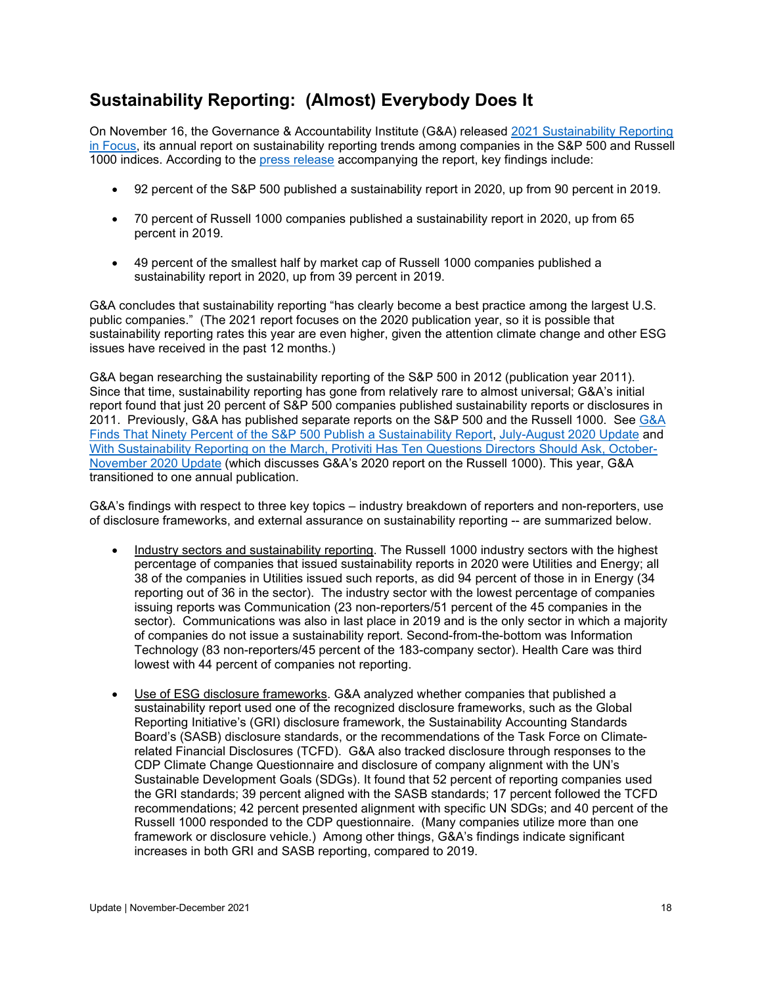# <span id="page-17-0"></span>**Sustainability Reporting: (Almost) Everybody Does It**

On November 16, the Governance & Accountability Institute (G&A) released [2021 Sustainability Reporting](https://www.ga-institute.com/2021-sustainability-reporting-in-focus.html)  [in Focus,](https://www.ga-institute.com/2021-sustainability-reporting-in-focus.html) its annual report on sustainability reporting trends among companies in the S&P 500 and Russell 1000 indices. According to the [press release](https://www.ga-institute.com/nc/storage/press-releases/article/92-of-sp-500r-companies-and-70-of-russell-1000r-companies-published-sustainability-reports-in-202.html) accompanying the report, key findings include:

- 92 percent of the S&P 500 published a sustainability report in 2020, up from 90 percent in 2019.
- 70 percent of Russell 1000 companies published a sustainability report in 2020, up from 65 percent in 2019.
- 49 percent of the smallest half by market cap of Russell 1000 companies published a sustainability report in 2020, up from 39 percent in 2019.

G&A concludes that sustainability reporting "has clearly become a best practice among the largest U.S. public companies." (The 2021 report focuses on the 2020 publication year, so it is possible that sustainability reporting rates this year are even higher, given the attention climate change and other ESG issues have received in the past 12 months.)

G&A began researching the sustainability reporting of the S&P 500 in 2012 (publication year 2011). Since that time, sustainability reporting has gone from relatively rare to almost universal; G&A's initial report found that just 20 percent of S&P 500 companies published sustainability reports or disclosures in 2011. Previously, [G&A](https://www.auditupdate.com/post/g-a-finds-that-ninety-percent-of-the-s-p-500-publish-a-sustainability-report) has published separate reports on the S&P 500 and the Russell 1000. See G&A [Finds That Ninety Percent of the S&P 500 Publish a Sustainability Report,](https://www.auditupdate.com/post/g-a-finds-that-ninety-percent-of-the-s-p-500-publish-a-sustainability-report) [July-August 2020 Update](https://b65438bf-9321-45db-8f57-d57780f6c776.filesusr.com/ugd/6ebb47_c52f5649d2f843be94ae5acd22c6fdcd.pdf) and [With Sustainability Reporting on the March, Protiviti Has Ten Questions Directors Should Ask](https://www.auditupdate.com/post/with-sustainability-reporting-on-the-march-protiviti-has-ten-questions-directors-should-ask)[, October-](https://b65438bf-9321-45db-8f57-d57780f6c776.filesusr.com/ugd/6ebb47_ce978c7c2c5443648801b491ce8b6685.pdf)[November 2020 Update](https://b65438bf-9321-45db-8f57-d57780f6c776.filesusr.com/ugd/6ebb47_ce978c7c2c5443648801b491ce8b6685.pdf) (which discusses G&A's 2020 report on the Russell 1000). This year, G&A transitioned to one annual publication.

G&A's findings with respect to three key topics – industry breakdown of reporters and non-reporters, use of disclosure frameworks, and external assurance on sustainability reporting -- are summarized below.

- Industry sectors and sustainability reporting. The Russell 1000 industry sectors with the highest percentage of companies that issued sustainability reports in 2020 were Utilities and Energy; all 38 of the companies in Utilities issued such reports, as did 94 percent of those in in Energy (34 reporting out of 36 in the sector). The industry sector with the lowest percentage of companies issuing reports was Communication (23 non-reporters/51 percent of the 45 companies in the sector). Communications was also in last place in 2019 and is the only sector in which a majority of companies do not issue a sustainability report. Second-from-the-bottom was Information Technology (83 non-reporters/45 percent of the 183-company sector). Health Care was third lowest with 44 percent of companies not reporting.
- Use of ESG disclosure frameworks. G&A analyzed whether companies that published a sustainability report used one of the recognized disclosure frameworks, such as the Global Reporting Initiative's (GRI) disclosure framework, the Sustainability Accounting Standards Board's (SASB) disclosure standards, or the recommendations of the Task Force on Climaterelated Financial Disclosures (TCFD). G&A also tracked disclosure through responses to the CDP Climate Change Questionnaire and disclosure of company alignment with the UN's Sustainable Development Goals (SDGs). It found that 52 percent of reporting companies used the GRI standards; 39 percent aligned with the SASB standards; 17 percent followed the TCFD recommendations; 42 percent presented alignment with specific UN SDGs; and 40 percent of the Russell 1000 responded to the CDP questionnaire. (Many companies utilize more than one framework or disclosure vehicle.) Among other things, G&A's findings indicate significant increases in both GRI and SASB reporting, compared to 2019.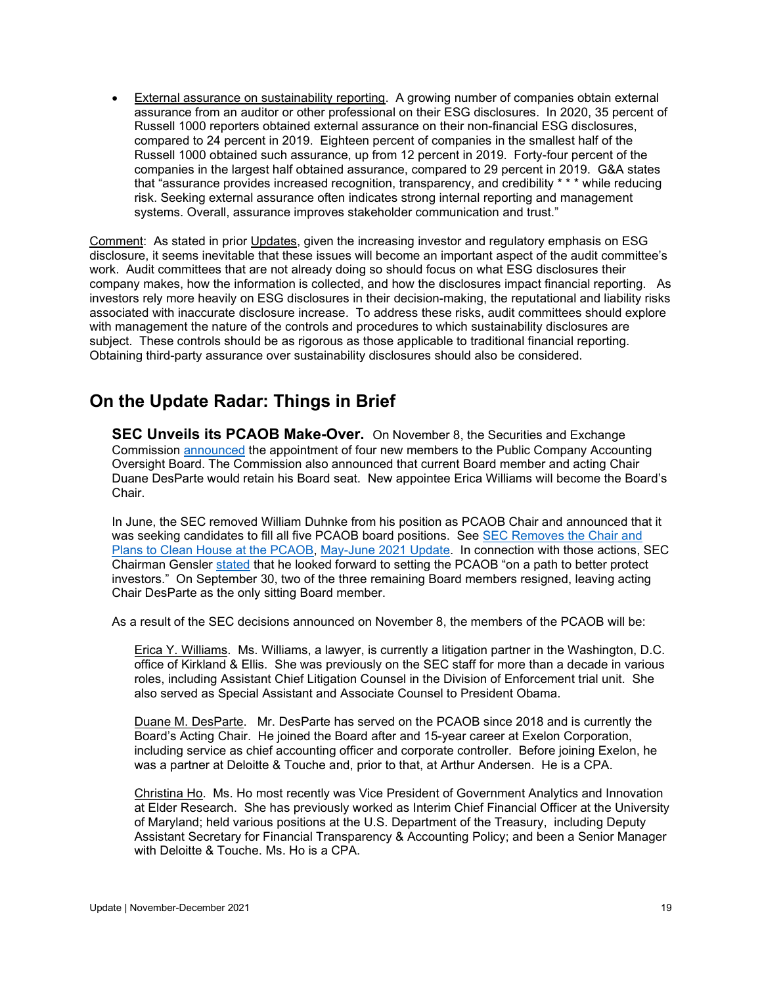• External assurance on sustainability reporting. A growing number of companies obtain external assurance from an auditor or other professional on their ESG disclosures. In 2020, 35 percent of Russell 1000 reporters obtained external assurance on their non-financial ESG disclosures, compared to 24 percent in 2019. Eighteen percent of companies in the smallest half of the Russell 1000 obtained such assurance, up from 12 percent in 2019. Forty-four percent of the companies in the largest half obtained assurance, compared to 29 percent in 2019. G&A states that "assurance provides increased recognition, transparency, and credibility \* \* \* while reducing risk. Seeking external assurance often indicates strong internal reporting and management systems. Overall, assurance improves stakeholder communication and trust."

Comment: As stated in prior Updates, given the increasing investor and regulatory emphasis on ESG disclosure, it seems inevitable that these issues will become an important aspect of the audit committee's work. Audit committees that are not already doing so should focus on what ESG disclosures their company makes, how the information is collected, and how the disclosures impact financial reporting. As investors rely more heavily on ESG disclosures in their decision-making, the reputational and liability risks associated with inaccurate disclosure increase. To address these risks, audit committees should explore with management the nature of the controls and procedures to which sustainability disclosures are subject. These controls should be as rigorous as those applicable to traditional financial reporting. Obtaining third-party assurance over sustainability disclosures should also be considered.

### <span id="page-18-0"></span>**On the Update Radar: Things in Brief**

<span id="page-18-1"></span>**SEC Unveils its PCAOB Make-Over.** On November 8, the Securities and Exchange Commission [announced](https://www.sec.gov/news/press-release/2021-228) the appointment of four new members to the Public Company Accounting Oversight Board. The Commission also announced that current Board member and acting Chair Duane DesParte would retain his Board seat. New appointee Erica Williams will become the Board's Chair.

In June, the SEC removed William Duhnke from his position as PCAOB Chair and announced that it was seeking candidates to fill all five PCAOB board positions. See [SEC Removes the Chair and](https://www.auditupdate.com/post/sec-removes-the-chair-and-plans-to-clean-house-at-the-pcaob)  [Plans to Clean House at the PCAOB,](https://www.auditupdate.com/post/sec-removes-the-chair-and-plans-to-clean-house-at-the-pcaob) [May-June 2021 Update.](https://b65438bf-9321-45db-8f57-d57780f6c776.filesusr.com/ugd/6ebb47_9b7e776d563243f5bc50082439e2435d.pdf) In connection with those actions, SEC Chairman Gensler [stated](https://www.sec.gov/news/press-release/2021-93) that he looked forward to setting the PCAOB "on a path to better protect investors." On September 30, two of the three remaining Board members resigned, leaving acting Chair DesParte as the only sitting Board member.

As a result of the SEC decisions announced on November 8, the members of the PCAOB will be:

Erica Y. Williams. Ms. Williams, a lawyer, is currently a litigation partner in the Washington, D.C. office of Kirkland & Ellis. She was previously on the SEC staff for more than a decade in various roles, including Assistant Chief Litigation Counsel in the Division of Enforcement trial unit. She also served as Special Assistant and Associate Counsel to President Obama.

Duane M. DesParte. Mr. DesParte has served on the PCAOB since 2018 and is currently the Board's Acting Chair. He joined the Board after and 15-year career at Exelon Corporation, including service as chief accounting officer and corporate controller. Before joining Exelon, he was a partner at Deloitte & Touche and, prior to that, at Arthur Andersen. He is a CPA.

Christina Ho. Ms. Ho most recently was Vice President of Government Analytics and Innovation at Elder Research. She has previously worked as Interim Chief Financial Officer at the University of Maryland; held various positions at the U.S. Department of the Treasury, including Deputy Assistant Secretary for Financial Transparency & Accounting Policy; and been a Senior Manager with Deloitte & Touche. Ms. Ho is a CPA.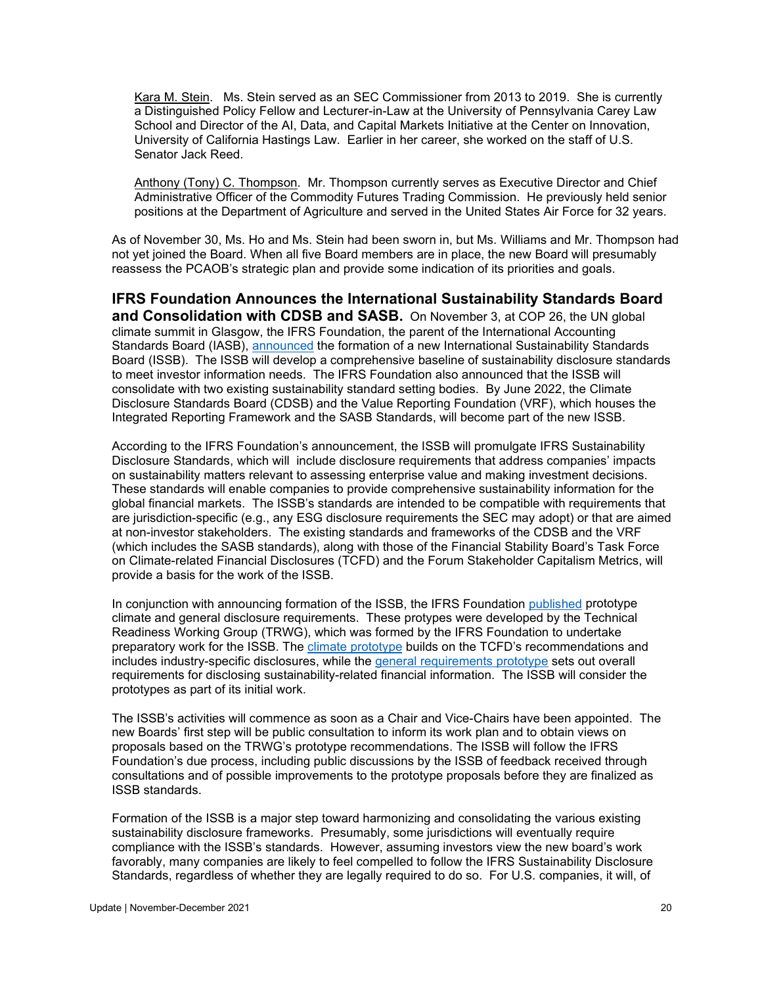Kara M. Stein. Ms. Stein served as an SEC Commissioner from 2013 to 2019. She is currently a Distinguished Policy Fellow and Lecturer-in-Law at the University of Pennsylvania Carey Law School and Director of the AI, Data, and Capital Markets Initiative at the Center on Innovation, University of California Hastings Law. Earlier in her career, she worked on the staff of U.S. Senator Jack Reed.

Anthony (Tony) C. Thompson. Mr. Thompson currently serves as Executive Director and Chief Administrative Officer of the Commodity Futures Trading Commission. He previously held senior positions at the Department of Agriculture and served in the United States Air Force for 32 years.

As of November 30, Ms. Ho and Ms. Stein had been sworn in, but Ms. Williams and Mr. Thompson had not yet joined the Board. When all five Board members are in place, the new Board will presumably reassess the PCAOB's strategic plan and provide some indication of its priorities and goals.

<span id="page-19-0"></span>**IFRS Foundation Announces the International Sustainability Standards Board and Consolidation with CDSB and SASB.** On November 3, at COP 26, the UN global climate summit in Glasgow, the IFRS Foundation, the parent of the International Accounting Standards Board (IASB), [announced](https://www.ifrs.org/news-and-events/news/2021/11/ifrs-foundation-announces-issb-consolidation-with-cdsb-vrf-publication-of-prototypes/) the formation of a new International Sustainability Standards Board (ISSB). The ISSB will develop a comprehensive baseline of sustainability disclosure standards to meet investor information needs. The IFRS Foundation also announced that the ISSB will consolidate with two existing sustainability standard setting bodies. By June 2022, the Climate Disclosure Standards Board (CDSB) and the Value Reporting Foundation (VRF), which houses the Integrated Reporting Framework and the SASB Standards, will become part of the new ISSB.

According to the IFRS Foundation's announcement, the ISSB will promulgate IFRS Sustainability Disclosure Standards, which will include disclosure requirements that address companies' impacts on sustainability matters relevant to assessing enterprise value and making investment decisions. These standards will enable companies to provide comprehensive sustainability information for the global financial markets. The ISSB's standards are intended to be compatible with requirements that are jurisdiction-specific (e.g., any ESG disclosure requirements the SEC may adopt) or that are aimed at non-investor stakeholders. The existing standards and frameworks of the CDSB and the VRF (which includes the SASB standards), along with those of the Financial Stability Board's Task Force on Climate-related Financial Disclosures (TCFD) and the Forum Stakeholder Capitalism Metrics, will provide a basis for the work of the ISSB.

In conjunction with announcing formation of the ISSB, the IFRS Foundation [published](https://www.ifrs.org/groups/technical-readiness-working-group/#resources) prototype climate and general disclosure requirements. These protypes were developed by the Technical Readiness Working Group (TRWG), which was formed by the IFRS Foundation to undertake preparatory work for the ISSB. The [climate prototype](https://www.ifrs.org/content/dam/ifrs/groups/trwg/trwg-climate-related-disclosures-prototype.pdf) builds on the TCFD's recommendations and includes industry-specific disclosures, while the [general requirements prototype](https://www.ifrs.org/content/dam/ifrs/groups/trwg/trwg-general-requirements-prototype.pdf) sets out overall requirements for disclosing sustainability-related financial information. The ISSB will consider the prototypes as part of its initial work.

The ISSB's activities will commence as soon as a Chair and Vice-Chairs have been appointed. The new Boards' first step will be public consultation to inform its work plan and to obtain views on proposals based on the TRWG's prototype recommendations. The ISSB will follow the IFRS Foundation's due process, including public discussions by the ISSB of feedback received through consultations and of possible improvements to the prototype proposals before they are finalized as ISSB standards.

Formation of the ISSB is a major step toward harmonizing and consolidating the various existing sustainability disclosure frameworks. Presumably, some jurisdictions will eventually require compliance with the ISSB's standards. However, assuming investors view the new board's work favorably, many companies are likely to feel compelled to follow the IFRS Sustainability Disclosure Standards, regardless of whether they are legally required to do so. For U.S. companies, it will, of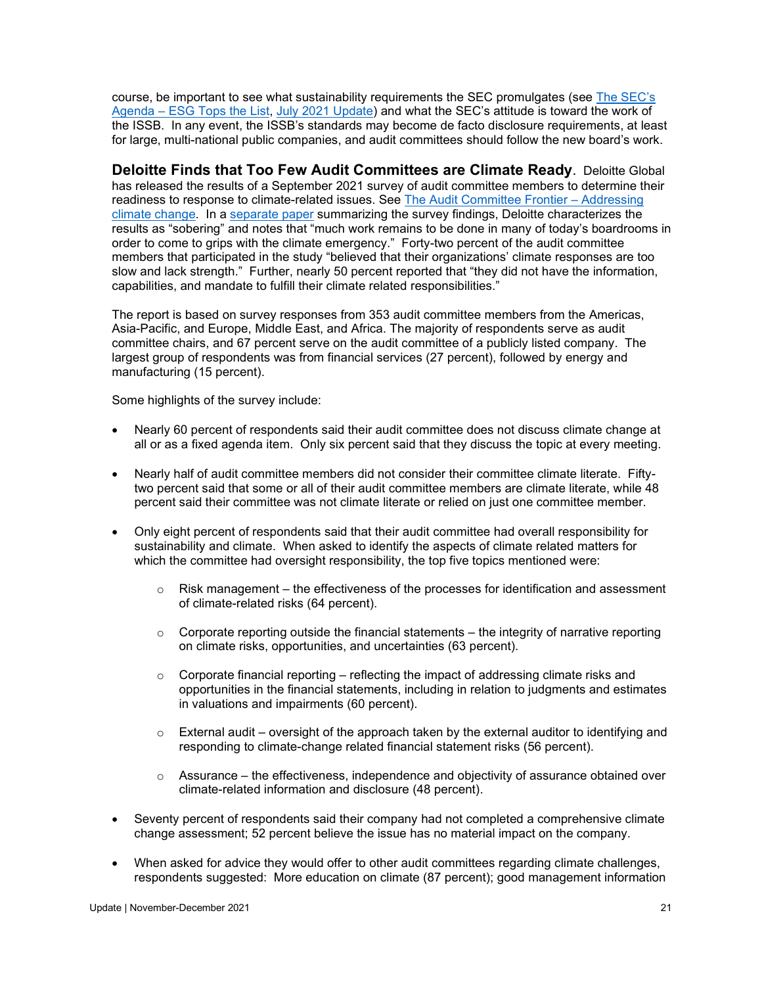course, be important to see what sustainability requirements the SEC promulgates (see [The SEC's](https://www.auditupdate.com/post/the-sec-s-agenda-esg-tops-the-list)  Agenda – [ESG Tops the List,](https://www.auditupdate.com/post/the-sec-s-agenda-esg-tops-the-list) [July 2021 Update\)](https://b65438bf-9321-45db-8f57-d57780f6c776.filesusr.com/ugd/6ebb47_7e3aac1cbf8846bb985711757979866a.pdf) and what the SEC's attitude is toward the work of the ISSB. In any event, the ISSB's standards may become de facto disclosure requirements, at least for large, multi-national public companies, and audit committees should follow the new board's work.

<span id="page-20-0"></span>**Deloitte Finds that Too Few Audit Committees are Climate Ready**. Deloitte Global has released the results of a September 2021 survey of audit committee members to determine their readiness to response to climate-related issues. See The Audit Committee Frontier - Addressing [climate change.](https://118.del-extra.com/pdf/audit-committee-frontier---addressing-climate-change.pdf) In a [separate paper](https://www2.deloitte.com/global/en/pages/risk/articles/frontier-topics-audit-committees-climate-audit-committee.html?nc=1) summarizing the survey findings, Deloitte characterizes the results as "sobering" and notes that "much work remains to be done in many of today's boardrooms in order to come to grips with the climate emergency." Forty-two percent of the audit committee members that participated in the study "believed that their organizations' climate responses are too slow and lack strength." Further, nearly 50 percent reported that "they did not have the information, capabilities, and mandate to fulfill their climate related responsibilities."

The report is based on survey responses from 353 audit committee members from the Americas, Asia-Pacific, and Europe, Middle East, and Africa. The majority of respondents serve as audit committee chairs, and 67 percent serve on the audit committee of a publicly listed company. The largest group of respondents was from financial services (27 percent), followed by energy and manufacturing (15 percent).

Some highlights of the survey include:

- Nearly 60 percent of respondents said their audit committee does not discuss climate change at all or as a fixed agenda item. Only six percent said that they discuss the topic at every meeting.
- Nearly half of audit committee members did not consider their committee climate literate. Fiftytwo percent said that some or all of their audit committee members are climate literate, while 48 percent said their committee was not climate literate or relied on just one committee member.
- Only eight percent of respondents said that their audit committee had overall responsibility for sustainability and climate. When asked to identify the aspects of climate related matters for which the committee had oversight responsibility, the top five topics mentioned were:
	- $\circ$  Risk management the effectiveness of the processes for identification and assessment of climate-related risks (64 percent).
	- $\circ$  Corporate reporting outside the financial statements the integrity of narrative reporting on climate risks, opportunities, and uncertainties (63 percent).
	- $\circ$  Corporate financial reporting reflecting the impact of addressing climate risks and opportunities in the financial statements, including in relation to judgments and estimates in valuations and impairments (60 percent).
	- $\circ$  External audit oversight of the approach taken by the external auditor to identifying and responding to climate-change related financial statement risks (56 percent).
	- $\circ$  Assurance the effectiveness, independence and objectivity of assurance obtained over climate-related information and disclosure (48 percent).
- Seventy percent of respondents said their company had not completed a comprehensive climate change assessment; 52 percent believe the issue has no material impact on the company.
- When asked for advice they would offer to other audit committees regarding climate challenges, respondents suggested: More education on climate (87 percent); good management information